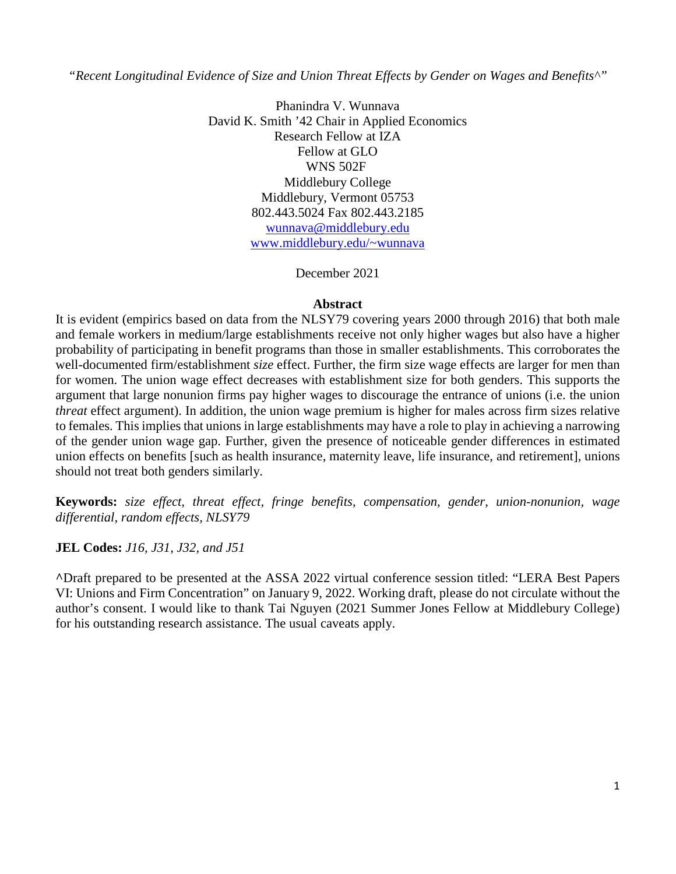*"Recent Longitudinal Evidence of Size and Union Threat Effects by Gender on Wages and Benefits^"* 

Phanindra V. Wunnava David K. Smith '42 Chair in Applied Economics Research Fellow at IZA Fellow at GLO WNS 502F Middlebury College Middlebury, Vermont 05753 802.443.5024 Fax 802.443.2185 wunnava@middlebury.edu www.middlebury.edu/~wunnava

December 2021

#### **Abstract**

It is evident (empirics based on data from the NLSY79 covering years 2000 through 2016) that both male and female workers in medium/large establishments receive not only higher wages but also have a higher probability of participating in benefit programs than those in smaller establishments. This corroborates the well-documented firm/establishment *size* effect. Further, the firm size wage effects are larger for men than for women. The union wage effect decreases with establishment size for both genders. This supports the argument that large nonunion firms pay higher wages to discourage the entrance of unions (i.e. the union *threat* effect argument). In addition, the union wage premium is higher for males across firm sizes relative to females. This implies that unions in large establishments may have a role to play in achieving a narrowing of the gender union wage gap. Further, given the presence of noticeable gender differences in estimated union effects on benefits [such as health insurance, maternity leave, life insurance, and retirement], unions should not treat both genders similarly.

**Keywords:** *size effect, threat effect, fringe benefits, compensation, gender, union-nonunion, wage differential, random effects, NLSY79*

**JEL Codes:** *J16, J31, J32, and J51*

**^**Draft prepared to be presented at the ASSA 2022 virtual conference session titled: "LERA Best Papers VI: Unions and Firm Concentration" on January 9, 2022. Working draft, please do not circulate without the author's consent. I would like to thank Tai Nguyen (2021 Summer Jones Fellow at Middlebury College) for his outstanding research assistance. The usual caveats apply.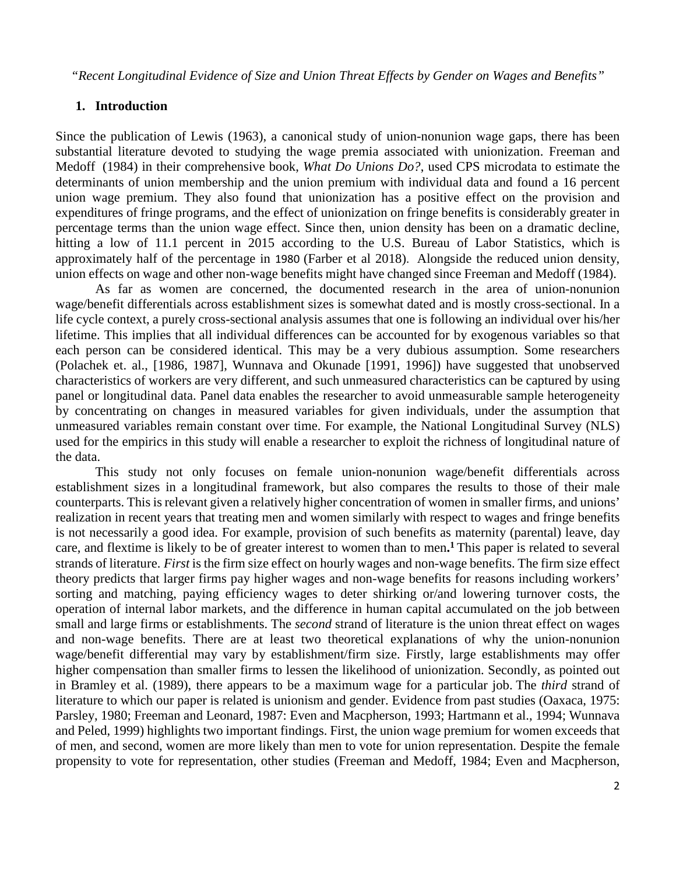*"Recent Longitudinal Evidence of Size and Union Threat Effects by Gender on Wages and Benefits"* 

## **1. Introduction**

Since the publication of Lewis (1963), a canonical study of union-nonunion wage gaps, there has been substantial literature devoted to studying the wage premia associated with unionization. Freeman and Medoff (1984) in their comprehensive book, *What Do Unions Do?*, used CPS microdata to estimate the determinants of union membership and the union premium with individual data and found a 16 percent union wage premium. They also found that unionization has a positive effect on the provision and expenditures of fringe programs, and the effect of unionization on fringe benefits is considerably greater in percentage terms than the union wage effect. Since then, union density has been on a dramatic decline, hitting a low of 11.1 percent in 2015 according to the U.S. Bureau of Labor Statistics, which is approximately half of the percentage in 1980 (Farber et al 2018). Alongside the reduced union density, union effects on wage and other non-wage benefits might have changed since Freeman and Medoff (1984).

As far as women are concerned, the documented research in the area of union-nonunion wage/benefit differentials across establishment sizes is somewhat dated and is mostly cross-sectional. In a life cycle context, a purely cross-sectional analysis assumes that one is following an individual over his/her lifetime. This implies that all individual differences can be accounted for by exogenous variables so that each person can be considered identical. This may be a very dubious assumption. Some researchers (Polachek et. al., [1986, 1987], Wunnava and Okunade [1991, 1996]) have suggested that unobserved characteristics of workers are very different, and such unmeasured characteristics can be captured by using panel or longitudinal data. Panel data enables the researcher to avoid unmeasurable sample heterogeneity by concentrating on changes in measured variables for given individuals, under the assumption that unmeasured variables remain constant over time. For example, the National Longitudinal Survey (NLS) used for the empirics in this study will enable a researcher to exploit the richness of longitudinal nature of the data.

This study not only focuses on female union-nonunion wage/benefit differentials across establishment sizes in a longitudinal framework, but also compares the results to those of their male counterparts. This is relevant given a relatively higher concentration of women in smaller firms, and unions' realization in recent years that treating men and women similarly with respect to wages and fringe benefits is not necessarily a good idea. For example, provision of such benefits as maternity (parental) leave, day care, and flextime is likely to be of greater interest to women than to men**. <sup>1</sup>**This paper is related to several strands of literature. *First* is the firm size effect on hourly wages and non-wage benefits. The firm size effect theory predicts that larger firms pay higher wages and non-wage benefits for reasons including workers' sorting and matching, paying efficiency wages to deter shirking or/and lowering turnover costs, the operation of internal labor markets, and the difference in human capital accumulated on the job between small and large firms or establishments. The *second* strand of literature is the union threat effect on wages and non-wage benefits. There are at least two theoretical explanations of why the union-nonunion wage/benefit differential may vary by establishment/firm size. Firstly, large establishments may offer higher compensation than smaller firms to lessen the likelihood of unionization. Secondly, as pointed out in Bramley et al. (1989), there appears to be a maximum wage for a particular job. The *third* strand of literature to which our paper is related is unionism and gender. Evidence from past studies (Oaxaca, 1975: Parsley, 1980; Freeman and Leonard, 1987: Even and Macpherson, 1993; Hartmann et al., 1994; Wunnava and Peled, 1999) highlights two important findings. First, the union wage premium for women exceeds that of men, and second, women are more likely than men to vote for union representation. Despite the female propensity to vote for representation, other studies (Freeman and Medoff, 1984; Even and Macpherson,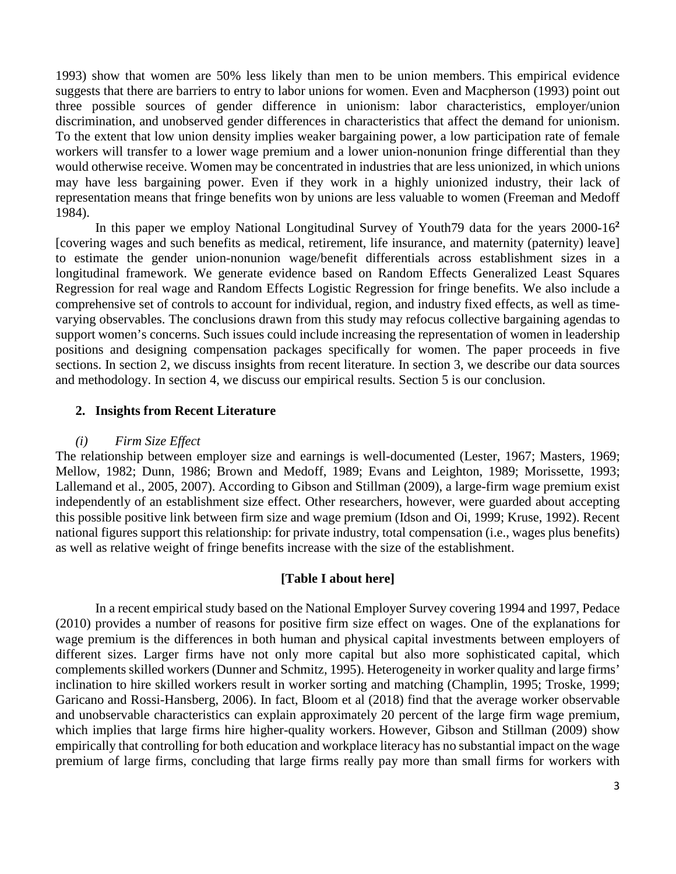1993) show that women are 50% less likely than men to be union members. This empirical evidence suggests that there are barriers to entry to labor unions for women. Even and Macpherson (1993) point out three possible sources of gender difference in unionism: labor characteristics, employer/union discrimination, and unobserved gender differences in characteristics that affect the demand for unionism. To the extent that low union density implies weaker bargaining power, a low participation rate of female workers will transfer to a lower wage premium and a lower union-nonunion fringe differential than they would otherwise receive. Women may be concentrated in industries that are less unionized, in which unions may have less bargaining power. Even if they work in a highly unionized industry, their lack of representation means that fringe benefits won by unions are less valuable to women (Freeman and Medoff 1984).

In this paper we employ National Longitudinal Survey of Youth79 data for the years 2000-16**<sup>2</sup>** [covering wages and such benefits as medical, retirement, life insurance, and maternity (paternity) leave] to estimate the gender union-nonunion wage/benefit differentials across establishment sizes in a longitudinal framework. We generate evidence based on Random Effects Generalized Least Squares Regression for real wage and Random Effects Logistic Regression for fringe benefits. We also include a comprehensive set of controls to account for individual, region, and industry fixed effects, as well as timevarying observables. The conclusions drawn from this study may refocus collective bargaining agendas to support women's concerns. Such issues could include increasing the representation of women in leadership positions and designing compensation packages specifically for women. The paper proceeds in five sections. In section 2, we discuss insights from recent literature. In section 3, we describe our data sources and methodology. In section 4, we discuss our empirical results. Section 5 is our conclusion.

## **2. Insights from Recent Literature**

## *(i) Firm Size Effect*

The relationship between employer size and earnings is well-documented (Lester, 1967; Masters, 1969; Mellow, 1982; Dunn, 1986; Brown and Medoff, 1989; Evans and Leighton, 1989; Morissette, 1993; Lallemand et al., 2005, 2007). According to Gibson and Stillman (2009), a large-firm wage premium exist independently of an establishment size effect. Other researchers, however, were guarded about accepting this possible positive link between firm size and wage premium (Idson and Oi, 1999; Kruse, 1992). Recent national figures support this relationship: for private industry, total compensation (i.e., wages plus benefits) as well as relative weight of fringe benefits increase with the size of the establishment.

#### **[Table I about here]**

In a recent empirical study based on the National Employer Survey covering 1994 and 1997, Pedace (2010) provides a number of reasons for positive firm size effect on wages. One of the explanations for wage premium is the differences in both human and physical capital investments between employers of different sizes. Larger firms have not only more capital but also more sophisticated capital, which complements skilled workers (Dunner and Schmitz, 1995). Heterogeneity in worker quality and large firms' inclination to hire skilled workers result in worker sorting and matching (Champlin, 1995; Troske, 1999; Garicano and Rossi-Hansberg, 2006). In fact, Bloom et al (2018) find that the average worker observable and unobservable characteristics can explain approximately 20 percent of the large firm wage premium, which implies that large firms hire higher-quality workers. However, Gibson and Stillman (2009) show empirically that controlling for both education and workplace literacy has no substantial impact on the wage premium of large firms, concluding that large firms really pay more than small firms for workers with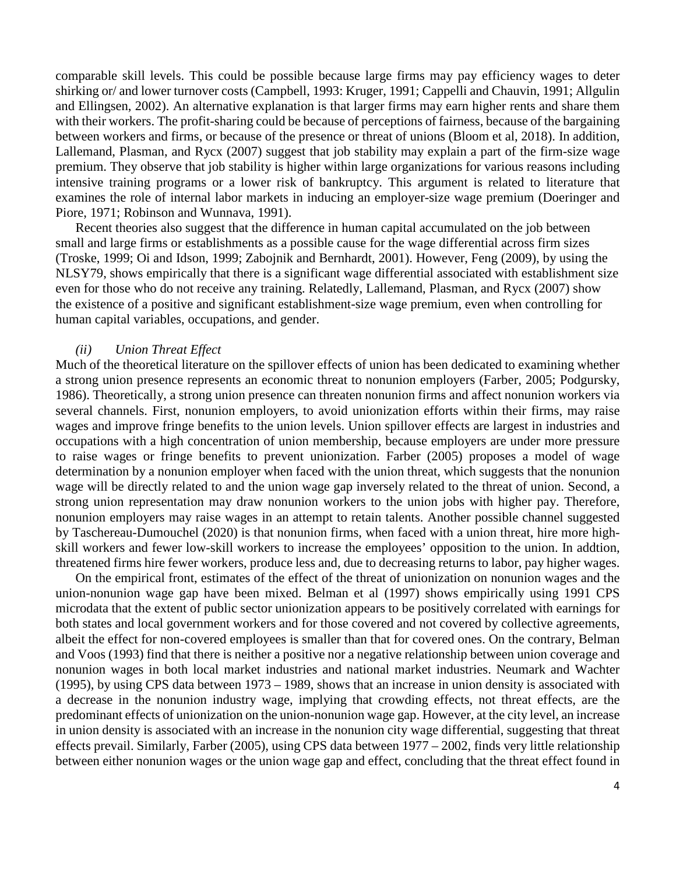comparable skill levels. This could be possible because large firms may pay efficiency wages to deter shirking or/ and lower turnover costs (Campbell, 1993: Kruger, 1991; Cappelli and Chauvin, 1991; Allgulin and Ellingsen, 2002). An alternative explanation is that larger firms may earn higher rents and share them with their workers. The profit-sharing could be because of perceptions of fairness, because of the bargaining between workers and firms, or because of the presence or threat of unions (Bloom et al, 2018). In addition, Lallemand, Plasman, and Rycx (2007) suggest that job stability may explain a part of the firm-size wage premium. They observe that job stability is higher within large organizations for various reasons including intensive training programs or a lower risk of bankruptcy. This argument is related to literature that examines the role of internal labor markets in inducing an employer-size wage premium (Doeringer and Piore, 1971; Robinson and Wunnava, 1991).

Recent theories also suggest that the difference in human capital accumulated on the job between small and large firms or establishments as a possible cause for the wage differential across firm sizes (Troske, 1999; Oi and Idson, 1999; Zabojnik and Bernhardt, 2001). However, Feng (2009), by using the NLSY79, shows empirically that there is a significant wage differential associated with establishment size even for those who do not receive any training. Relatedly, Lallemand, Plasman, and Rycx (2007) show the existence of a positive and significant establishment-size wage premium, even when controlling for human capital variables, occupations, and gender.

#### *(ii) Union Threat Effect*

Much of the theoretical literature on the spillover effects of union has been dedicated to examining whether a strong union presence represents an economic threat to nonunion employers (Farber, 2005; Podgursky, 1986). Theoretically, a strong union presence can threaten nonunion firms and affect nonunion workers via several channels. First, nonunion employers, to avoid unionization efforts within their firms, may raise wages and improve fringe benefits to the union levels. Union spillover effects are largest in industries and occupations with a high concentration of union membership, because employers are under more pressure to raise wages or fringe benefits to prevent unionization. Farber (2005) proposes a model of wage determination by a nonunion employer when faced with the union threat, which suggests that the nonunion wage will be directly related to and the union wage gap inversely related to the threat of union. Second, a strong union representation may draw nonunion workers to the union jobs with higher pay. Therefore, nonunion employers may raise wages in an attempt to retain talents. Another possible channel suggested by Taschereau-Dumouchel (2020) is that nonunion firms, when faced with a union threat, hire more highskill workers and fewer low-skill workers to increase the employees' opposition to the union. In addtion, threatened firms hire fewer workers, produce less and, due to decreasing returns to labor, pay higher wages.

On the empirical front, estimates of the effect of the threat of unionization on nonunion wages and the union-nonunion wage gap have been mixed. Belman et al (1997) shows empirically using 1991 CPS microdata that the extent of public sector unionization appears to be positively correlated with earnings for both states and local government workers and for those covered and not covered by collective agreements, albeit the effect for non-covered employees is smaller than that for covered ones. On the contrary, Belman and Voos (1993) find that there is neither a positive nor a negative relationship between union coverage and nonunion wages in both local market industries and national market industries. Neumark and Wachter (1995), by using CPS data between 1973 – 1989, shows that an increase in union density is associated with a decrease in the nonunion industry wage, implying that crowding effects, not threat effects, are the predominant effects of unionization on the union-nonunion wage gap. However, at the city level, an increase in union density is associated with an increase in the nonunion city wage differential, suggesting that threat effects prevail. Similarly, Farber (2005), using CPS data between 1977 – 2002, finds very little relationship between either nonunion wages or the union wage gap and effect, concluding that the threat effect found in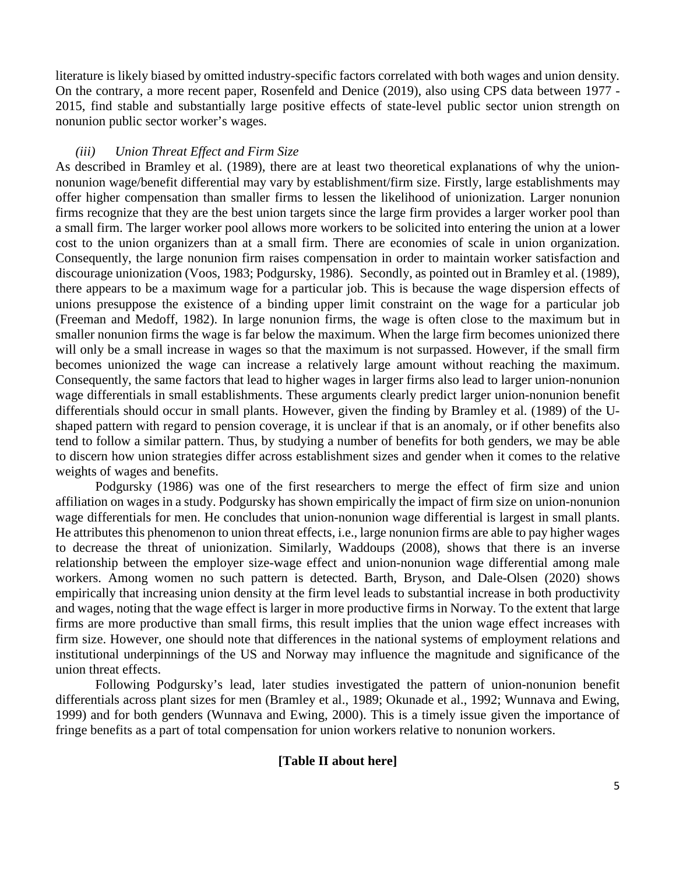literature is likely biased by omitted industry-specific factors correlated with both wages and union density. On the contrary, a more recent paper, Rosenfeld and Denice (2019), also using CPS data between 1977 - 2015, find stable and substantially large positive effects of state-level public sector union strength on nonunion public sector worker's wages.

## *(iii) Union Threat Effect and Firm Size*

As described in Bramley et al. (1989), there are at least two theoretical explanations of why the unionnonunion wage/benefit differential may vary by establishment/firm size. Firstly, large establishments may offer higher compensation than smaller firms to lessen the likelihood of unionization. Larger nonunion firms recognize that they are the best union targets since the large firm provides a larger worker pool than a small firm. The larger worker pool allows more workers to be solicited into entering the union at a lower cost to the union organizers than at a small firm. There are economies of scale in union organization. Consequently, the large nonunion firm raises compensation in order to maintain worker satisfaction and discourage unionization (Voos, 1983; Podgursky, 1986). Secondly, as pointed out in Bramley et al. (1989), there appears to be a maximum wage for a particular job. This is because the wage dispersion effects of unions presuppose the existence of a binding upper limit constraint on the wage for a particular job (Freeman and Medoff, 1982). In large nonunion firms, the wage is often close to the maximum but in smaller nonunion firms the wage is far below the maximum. When the large firm becomes unionized there will only be a small increase in wages so that the maximum is not surpassed. However, if the small firm becomes unionized the wage can increase a relatively large amount without reaching the maximum. Consequently, the same factors that lead to higher wages in larger firms also lead to larger union-nonunion wage differentials in small establishments. These arguments clearly predict larger union-nonunion benefit differentials should occur in small plants. However, given the finding by Bramley et al. (1989) of the Ushaped pattern with regard to pension coverage, it is unclear if that is an anomaly, or if other benefits also tend to follow a similar pattern. Thus, by studying a number of benefits for both genders, we may be able to discern how union strategies differ across establishment sizes and gender when it comes to the relative weights of wages and benefits.

Podgursky (1986) was one of the first researchers to merge the effect of firm size and union affiliation on wages in a study. Podgursky has shown empirically the impact of firm size on union-nonunion wage differentials for men. He concludes that union-nonunion wage differential is largest in small plants. He attributes this phenomenon to union threat effects, i.e., large nonunion firms are able to pay higher wages to decrease the threat of unionization. Similarly, Waddoups (2008), shows that there is an inverse relationship between the employer size-wage effect and union-nonunion wage differential among male workers. Among women no such pattern is detected. Barth, Bryson, and Dale-Olsen (2020) shows empirically that increasing union density at the firm level leads to substantial increase in both productivity and wages, noting that the wage effect is larger in more productive firms in Norway. To the extent that large firms are more productive than small firms, this result implies that the union wage effect increases with firm size. However, one should note that differences in the national systems of employment relations and institutional underpinnings of the US and Norway may influence the magnitude and significance of the union threat effects.

Following Podgursky's lead, later studies investigated the pattern of union-nonunion benefit differentials across plant sizes for men (Bramley et al., 1989; Okunade et al., 1992; Wunnava and Ewing, 1999) and for both genders (Wunnava and Ewing, 2000). This is a timely issue given the importance of fringe benefits as a part of total compensation for union workers relative to nonunion workers.

# **[Table II about here]**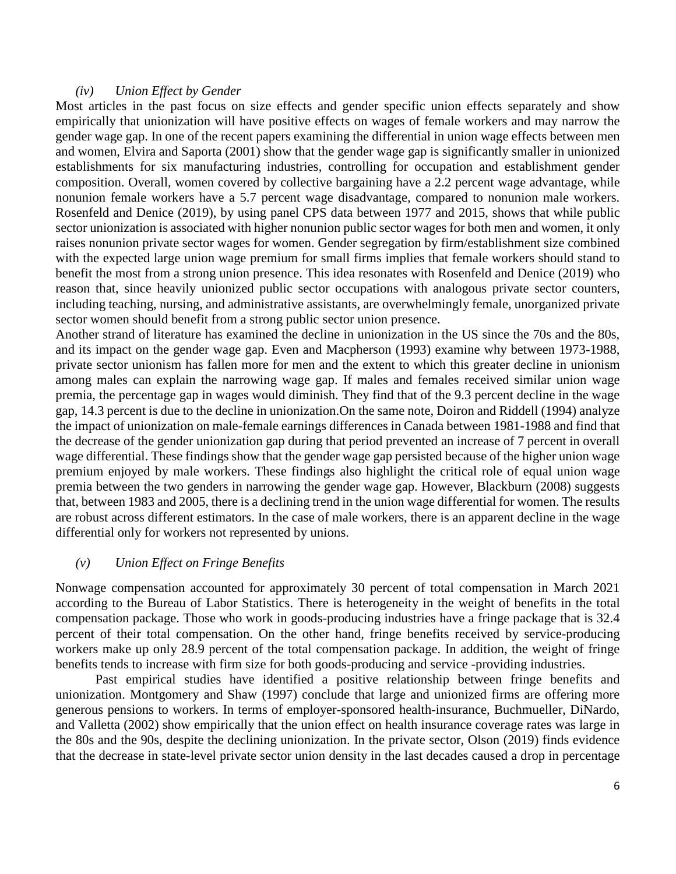### *(iv) Union Effect by Gender*

Most articles in the past focus on size effects and gender specific union effects separately and show empirically that unionization will have positive effects on wages of female workers and may narrow the gender wage gap. In one of the recent papers examining the differential in union wage effects between men and women, Elvira and Saporta (2001) show that the gender wage gap is significantly smaller in unionized establishments for six manufacturing industries, controlling for occupation and establishment gender composition. Overall, women covered by collective bargaining have a 2.2 percent wage advantage, while nonunion female workers have a 5.7 percent wage disadvantage, compared to nonunion male workers. Rosenfeld and Denice (2019), by using panel CPS data between 1977 and 2015, shows that while public sector unionization is associated with higher nonunion public sector wages for both men and women, it only raises nonunion private sector wages for women. Gender segregation by firm/establishment size combined with the expected large union wage premium for small firms implies that female workers should stand to benefit the most from a strong union presence. This idea resonates with Rosenfeld and Denice (2019) who reason that, since heavily unionized public sector occupations with analogous private sector counters, including teaching, nursing, and administrative assistants, are overwhelmingly female, unorganized private sector women should benefit from a strong public sector union presence.

Another strand of literature has examined the decline in unionization in the US since the 70s and the 80s, and its impact on the gender wage gap. Even and Macpherson (1993) examine why between 1973-1988, private sector unionism has fallen more for men and the extent to which this greater decline in unionism among males can explain the narrowing wage gap. If males and females received similar union wage premia, the percentage gap in wages would diminish. They find that of the 9.3 percent decline in the wage gap, 14.3 percent is due to the decline in unionization.On the same note, Doiron and Riddell (1994) analyze the impact of unionization on male-female earnings differences in Canada between 1981-1988 and find that the decrease of the gender unionization gap during that period prevented an increase of 7 percent in overall wage differential. These findings show that the gender wage gap persisted because of the higher union wage premium enjoyed by male workers. These findings also highlight the critical role of equal union wage premia between the two genders in narrowing the gender wage gap. However, Blackburn (2008) suggests that, between 1983 and 2005, there is a declining trend in the union wage differential for women. The results are robust across different estimators. In the case of male workers, there is an apparent decline in the wage differential only for workers not represented by unions.

#### *(v) Union Effect on Fringe Benefits*

Nonwage compensation accounted for approximately 30 percent of total compensation in March 2021 according to the Bureau of Labor Statistics. There is heterogeneity in the weight of benefits in the total compensation package. Those who work in goods-producing industries have a fringe package that is 32.4 percent of their total compensation. On the other hand, fringe benefits received by service-producing workers make up only 28.9 percent of the total compensation package. In addition, the weight of fringe benefits tends to increase with firm size for both goods-producing and service -providing industries.

Past empirical studies have identified a positive relationship between fringe benefits and unionization. Montgomery and Shaw (1997) conclude that large and unionized firms are offering more generous pensions to workers. In terms of employer-sponsored health-insurance, Buchmueller, DiNardo, and Valletta (2002) show empirically that the union effect on health insurance coverage rates was large in the 80s and the 90s, despite the declining unionization. In the private sector, Olson (2019) finds evidence that the decrease in state-level private sector union density in the last decades caused a drop in percentage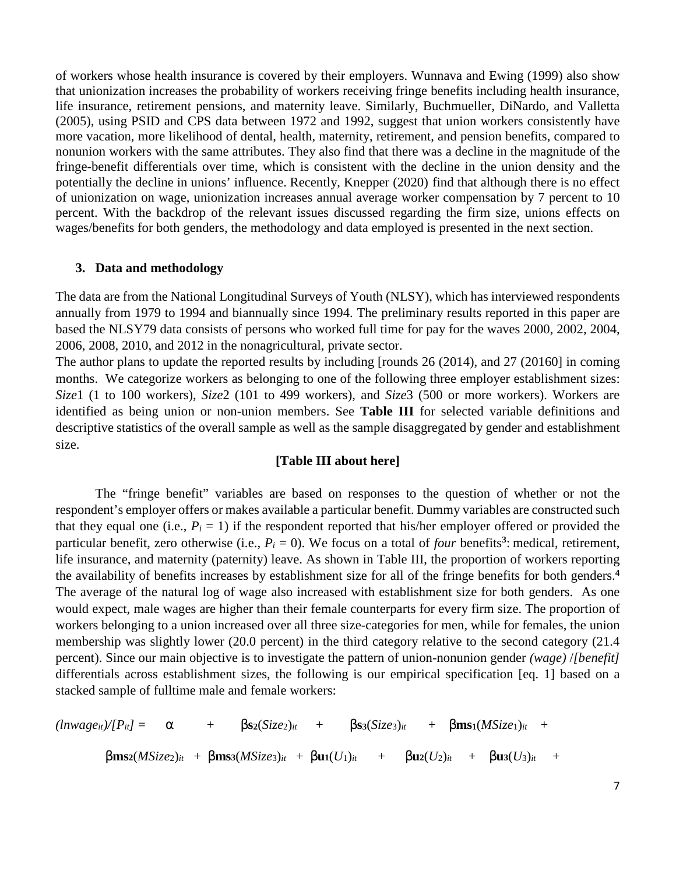of workers whose health insurance is covered by their employers. Wunnava and Ewing (1999) also show that unionization increases the probability of workers receiving fringe benefits including health insurance, life insurance, retirement pensions, and maternity leave. Similarly, Buchmueller, DiNardo, and Valletta (2005), using PSID and CPS data between 1972 and 1992, suggest that union workers consistently have more vacation, more likelihood of dental, health, maternity, retirement, and pension benefits, compared to nonunion workers with the same attributes. They also find that there was a decline in the magnitude of the fringe-benefit differentials over time, which is consistent with the decline in the union density and the potentially the decline in unions' influence. Recently, Knepper (2020) find that although there is no effect of unionization on wage, unionization increases annual average worker compensation by 7 percent to 10 percent. With the backdrop of the relevant issues discussed regarding the firm size, unions effects on wages/benefits for both genders, the methodology and data employed is presented in the next section.

#### **3. Data and methodology**

The data are from the National Longitudinal Surveys of Youth (NLSY), which has interviewed respondents annually from 1979 to 1994 and biannually since 1994. The preliminary results reported in this paper are based the NLSY79 data consists of persons who worked full time for pay for the waves 2000, 2002, 2004, 2006, 2008, 2010, and 2012 in the nonagricultural, private sector.

The author plans to update the reported results by including [rounds 26 (2014), and 27 (20160] in coming months. We categorize workers as belonging to one of the following three employer establishment sizes: *Size*1 (1 to 100 workers), *Size*2 (101 to 499 workers), and *Size*3 (500 or more workers). Workers are identified as being union or non-union members. See **Table III** for selected variable definitions and descriptive statistics of the overall sample as well as the sample disaggregated by gender and establishment size.

## **[Table III about here]**

The "fringe benefit" variables are based on responses to the question of whether or not the respondent's employer offers or makes available a particular benefit. Dummy variables are constructed such that they equal one (i.e.,  $P_i = 1$ ) if the respondent reported that his/her employer offered or provided the particular benefit, zero otherwise (i.e.,  $P_i = 0$ ). We focus on a total of *four* benefits<sup>3</sup>: medical, retirement, life insurance, and maternity (paternity) leave. As shown in Table III, the proportion of workers reporting the availability of benefits increases by establishment size for all of the fringe benefits for both genders.**<sup>4</sup>** The average of the natural log of wage also increased with establishment size for both genders. As one would expect, male wages are higher than their female counterparts for every firm size. The proportion of workers belonging to a union increased over all three size-categories for men, while for females, the union membership was slightly lower (20.0 percent) in the third category relative to the second category (21.4 percent). Since our main objective is to investigate the pattern of union-nonunion gender *(wage)* /*[benefit]* differentials across establishment sizes, the following is our empirical specification [eq. 1] based on a stacked sample of fulltime male and female workers:

$$
(lnwage_{it})/[P_{it}] = \alpha + \beta s_2(Size_{2})_{it} + \beta s_3(Size_{3})_{it} + \beta m s_1(MSize_{1})_{it} +\beta m s_2(MSize_{2})_{it} + \beta m s_3(MSize_{3})_{it} + \beta u_1(U_1)_{it} + \beta u_2(U_2)_{it} + \beta u_3(U_3)_{it} +
$$

7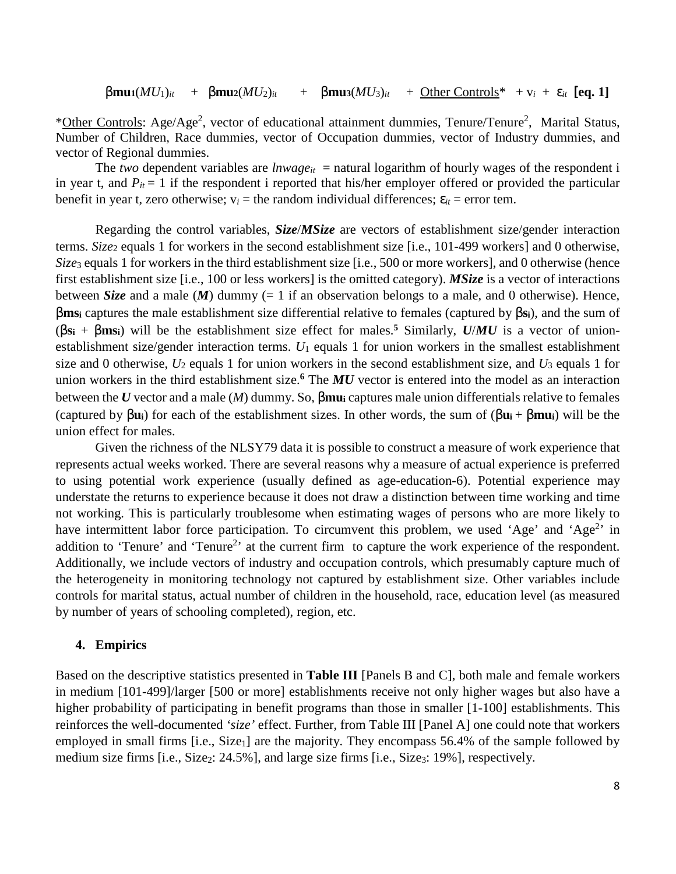β**mu1**(*MU*1)*it* + β**mu2**(*MU*2)*it* + β**mu3**(*MU*3)*it* + Other Controls\* + v*i* + ε*it* [**eq. 1]**

\*Other Controls: Age/Age<sup>2</sup>, vector of educational attainment dummies, Tenure/Tenure<sup>2</sup>, Marital Status, Number of Children, Race dummies, vector of Occupation dummies, vector of Industry dummies, and vector of Regional dummies.

The *two* dependent variables are *lnwage*<sub>*it*</sub> = natural logarithm of hourly wages of the respondent i in year t, and  $P_{it} = 1$  if the respondent i reported that his/her employer offered or provided the particular benefit in year t, zero otherwise;  $v_i$  = the random individual differences;  $\varepsilon_{it}$  = error tem.

Regarding the control variables, *Size*/*MSize* are vectors of establishment size/gender interaction terms. *Size*2 equals 1 for workers in the second establishment size [i.e., 101-499 workers] and 0 otherwise, *Size*3 equals 1 for workers in the third establishment size [i.e., 500 or more workers], and 0 otherwise (hence first establishment size [i.e., 100 or less workers] is the omitted category). *MSize* is a vector of interactions between *Size* and a male  $(M)$  dummy (= 1 if an observation belongs to a male, and 0 otherwise). Hence, β**ms<sup>i</sup>** captures the male establishment size differential relative to females (captured by β**si**), and the sum of (β**s<sup>i</sup>** + β**msi**) will be the establishment size effect for males.**<sup>5</sup>** Similarly, *U*/*MU* is a vector of unionestablishment size/gender interaction terms. *U*1 equals 1 for union workers in the smallest establishment size and 0 otherwise, *U*2 equals 1 for union workers in the second establishment size, and *U*3 equals 1 for union workers in the third establishment size.**<sup>6</sup>** The *MU* vector is entered into the model as an interaction between the *U* vector and a male (*M*) dummy. So, β**mu<sup>i</sup>** captures male union differentials relative to females (captured by  $\beta$ **u**<sub>i</sub>) for each of the establishment sizes. In other words, the sum of  $(\beta$ **u**<sub>i</sub> +  $\beta$ **mu**<sub>i</sub>) will be the union effect for males.

Given the richness of the NLSY79 data it is possible to construct a measure of work experience that represents actual weeks worked. There are several reasons why a measure of actual experience is preferred to using potential work experience (usually defined as age-education-6). Potential experience may understate the returns to experience because it does not draw a distinction between time working and time not working. This is particularly troublesome when estimating wages of persons who are more likely to have intermittent labor force participation. To circumvent this problem, we used 'Age' and 'Age<sup>2</sup>' in addition to 'Tenure' and 'Tenure<sup>2</sup>' at the current firm to capture the work experience of the respondent. Additionally, we include vectors of industry and occupation controls, which presumably capture much of the heterogeneity in monitoring technology not captured by establishment size. Other variables include controls for marital status, actual number of children in the household, race, education level (as measured by number of years of schooling completed), region, etc.

#### **4. Empirics**

Based on the descriptive statistics presented in **Table III** [Panels B and C], both male and female workers in medium [101-499]/larger [500 or more] establishments receive not only higher wages but also have a higher probability of participating in benefit programs than those in smaller [1-100] establishments. This reinforces the well-documented *'size'* effect. Further, from Table III [Panel A] one could note that workers employed in small firms  $[i.e., Size<sub>1</sub>]$  are the majority. They encompass 56.4% of the sample followed by medium size firms [i.e., Size<sub>2</sub>: 24.5%], and large size firms [i.e., Size<sub>3</sub>: 19%], respectively.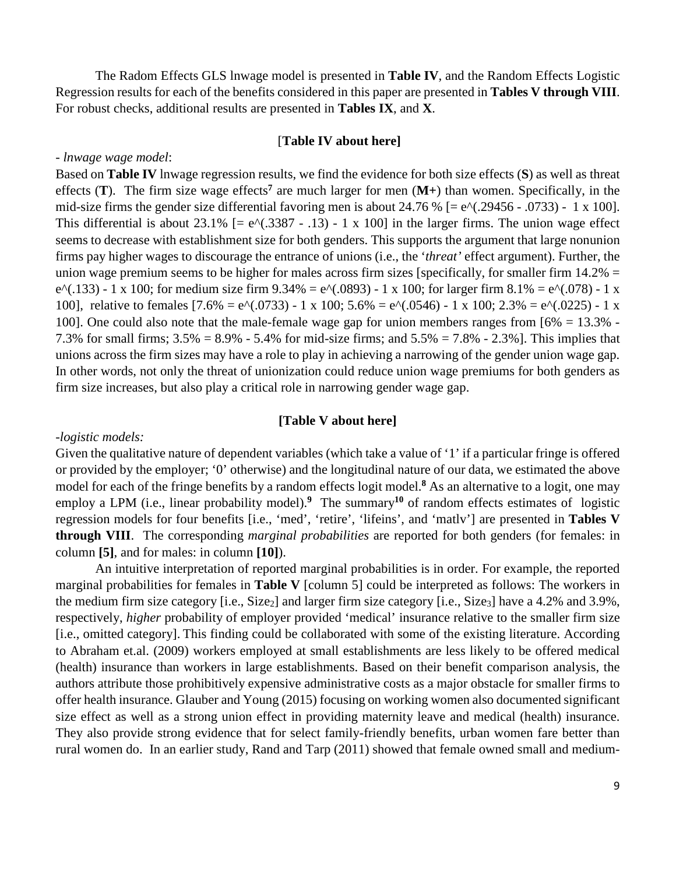The Radom Effects GLS lnwage model is presented in **Table IV**, and the Random Effects Logistic Regression results for each of the benefits considered in this paper are presented in **Tables V through VIII**. For robust checks, additional results are presented in **Tables IX**, and **X**.

## [**Table IV about here]**

#### *- lnwage wage model*:

Based on **Table IV** lnwage regression results, we find the evidence for both size effects (**S**) as well as threat effects (**T**). The firm size wage effects<sup>7</sup> are much larger for men (M+) than women. Specifically, in the mid-size firms the gender size differential favoring men is about 24.76 %  $[= e^{\Lambda}(0.29456 - 0.0733) - 1 \times 100]$ . This differential is about 23.1%  $[= e^{x}(.3387 - .13) - 1 \times 100]$  in the larger firms. The union wage effect seems to decrease with establishment size for both genders. This supports the argument that large nonunion firms pay higher wages to discourage the entrance of unions (i.e., the '*threat'* effect argument). Further, the union wage premium seems to be higher for males across firm sizes [specifically, for smaller firm  $14.2\%$  = e^(.133) - 1 x 100; for medium size firm 9.34% = e^(.0893) - 1 x 100; for larger firm 8.1% = e^(.078) - 1 x 100], relative to females  $[7.6\% = e^{\Lambda}(0.0733) - 1 \times 100; 5.6\% = e^{\Lambda}(0.0546) - 1 \times 100; 2.3\% = e^{\Lambda}(0.0225) - 1 \times 100; 2.3\% = e^{\Lambda}(0.0225)$ 100]. One could also note that the male-female wage gap for union members ranges from [6% = 13.3% - 7.3% for small firms; 3.5% = 8.9% - 5.4% for mid-size firms; and 5.5% = 7.8% - 2.3%]. This implies that unions across the firm sizes may have a role to play in achieving a narrowing of the gender union wage gap. In other words, not only the threat of unionization could reduce union wage premiums for both genders as firm size increases, but also play a critical role in narrowing gender wage gap.

## **[Table V about here]**

## *-logistic models:*

Given the qualitative nature of dependent variables (which take a value of '1' if a particular fringe is offered or provided by the employer; '0' otherwise) and the longitudinal nature of our data, we estimated the above model for each of the fringe benefits by a random effects logit model.<sup>8</sup> As an alternative to a logit, one may employ a LPM (i.e., linear probability model).<sup>9</sup> The summary<sup>10</sup> of random effects estimates of logistic regression models for four benefits [i.e., 'med', 'retire', 'lifeins', and 'matlv'] are presented in **Tables V through VIII**. The corresponding *marginal probabilities* are reported for both genders (for females: in column **[5]**, and for males: in column **[10]**).

An intuitive interpretation of reported marginal probabilities is in order. For example, the reported marginal probabilities for females in **Table V** [column 5] could be interpreted as follows: The workers in the medium firm size category [i.e., Size2] and larger firm size category [i.e., Size3] have a 4.2% and 3.9%, respectively, *higher* probability of employer provided 'medical' insurance relative to the smaller firm size [i.e., omitted category]. This finding could be collaborated with some of the existing literature. According to Abraham et.al. (2009) workers employed at small establishments are less likely to be offered medical (health) insurance than workers in large establishments. Based on their benefit comparison analysis, the authors attribute those prohibitively expensive administrative costs as a major obstacle for smaller firms to offer health insurance. Glauber and Young (2015) focusing on working women also documented significant size effect as well as a strong union effect in providing maternity leave and medical (health) insurance. They also provide strong evidence that for select family-friendly benefits, urban women fare better than rural women do. In an earlier study, Rand and Tarp (2011) showed that female owned small and medium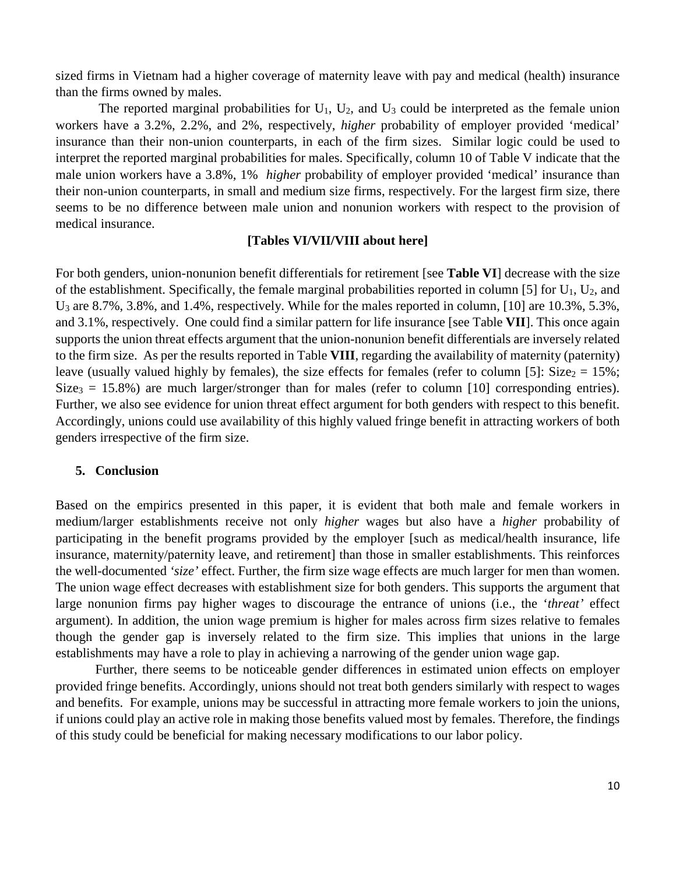sized firms in Vietnam had a higher coverage of maternity leave with pay and medical (health) insurance than the firms owned by males.

The reported marginal probabilities for  $U_1$ ,  $U_2$ , and  $U_3$  could be interpreted as the female union workers have a 3.2%, 2.2%, and 2%, respectively, *higher* probability of employer provided 'medical' insurance than their non-union counterparts, in each of the firm sizes. Similar logic could be used to interpret the reported marginal probabilities for males. Specifically, column 10 of Table V indicate that the male union workers have a 3.8%, 1% *higher* probability of employer provided 'medical' insurance than their non-union counterparts, in small and medium size firms, respectively. For the largest firm size, there seems to be no difference between male union and nonunion workers with respect to the provision of medical insurance.

## **[Tables VI/VII/VIII about here]**

For both genders, union-nonunion benefit differentials for retirement [see **Table VI**] decrease with the size of the establishment. Specifically, the female marginal probabilities reported in column [5] for  $U_1$ ,  $U_2$ , and U3 are 8.7%, 3.8%, and 1.4%, respectively. While for the males reported in column, [10] are 10.3%, 5.3%, and 3.1%, respectively. One could find a similar pattern for life insurance [see Table **VII**]. This once again supports the union threat effects argument that the union-nonunion benefit differentials are inversely related to the firm size. As per the results reported in Table **VIII**, regarding the availability of maternity (paternity) leave (usually valued highly by females), the size effects for females (refer to column [5]: Size<sub>2</sub> = 15%;  $Size_3 = 15.8\%$ ) are much larger/stronger than for males (refer to column [10] corresponding entries). Further, we also see evidence for union threat effect argument for both genders with respect to this benefit. Accordingly, unions could use availability of this highly valued fringe benefit in attracting workers of both genders irrespective of the firm size.

## **5. Conclusion**

Based on the empirics presented in this paper, it is evident that both male and female workers in medium/larger establishments receive not only *higher* wages but also have a *higher* probability of participating in the benefit programs provided by the employer [such as medical/health insurance, life insurance, maternity/paternity leave, and retirement] than those in smaller establishments. This reinforces the well-documented *'size'* effect. Further, the firm size wage effects are much larger for men than women. The union wage effect decreases with establishment size for both genders. This supports the argument that large nonunion firms pay higher wages to discourage the entrance of unions (i.e., the '*threat'* effect argument). In addition, the union wage premium is higher for males across firm sizes relative to females though the gender gap is inversely related to the firm size. This implies that unions in the large establishments may have a role to play in achieving a narrowing of the gender union wage gap.

Further, there seems to be noticeable gender differences in estimated union effects on employer provided fringe benefits. Accordingly, unions should not treat both genders similarly with respect to wages and benefits. For example, unions may be successful in attracting more female workers to join the unions, if unions could play an active role in making those benefits valued most by females. Therefore, the findings of this study could be beneficial for making necessary modifications to our labor policy.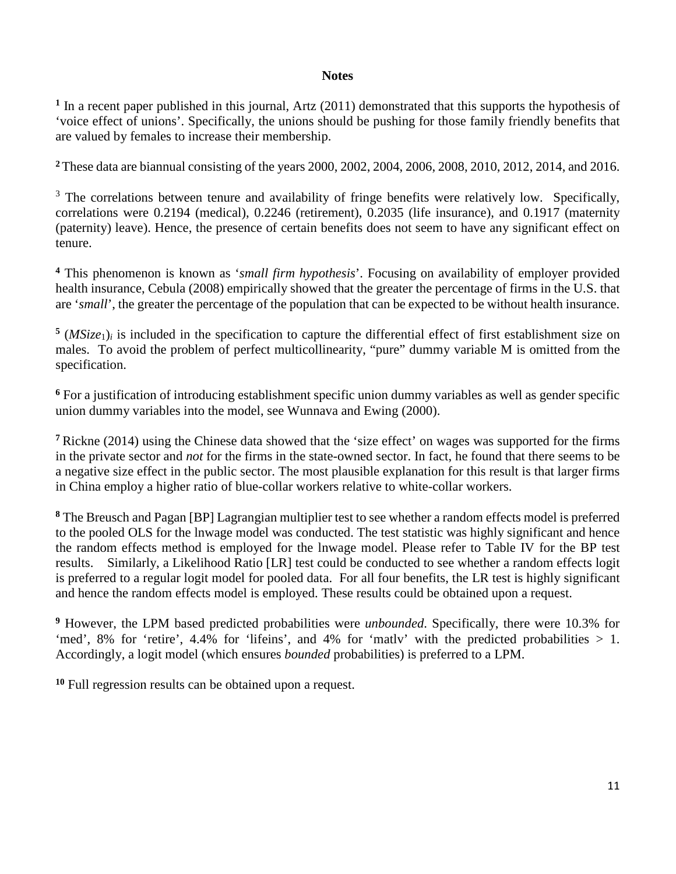# **Notes**

<sup>1</sup> In a recent paper published in this journal, Artz (2011) demonstrated that this supports the hypothesis of 'voice effect of unions'. Specifically, the unions should be pushing for those family friendly benefits that are valued by females to increase their membership.

**<sup>2</sup>**These data are biannual consisting of the years 2000, 2002, 2004, 2006, 2008, 2010, 2012, 2014, and 2016.

 $3$  The correlations between tenure and availability of fringe benefits were relatively low. Specifically, correlations were 0.2194 (medical), 0.2246 (retirement), 0.2035 (life insurance), and 0.1917 (maternity (paternity) leave). Hence, the presence of certain benefits does not seem to have any significant effect on tenure.

**<sup>4</sup>** This phenomenon is known as '*small firm hypothesis*'. Focusing on availability of employer provided health insurance, Cebula (2008) empirically showed that the greater the percentage of firms in the U.S. that are '*small*', the greater the percentage of the population that can be expected to be without health insurance.

 $5$  (*MSize*<sub>1</sub>)<sub>*i*</sub> is included in the specification to capture the differential effect of first establishment size on males. To avoid the problem of perfect multicollinearity, "pure" dummy variable M is omitted from the specification.

<sup>6</sup> For a justification of introducing establishment specific union dummy variables as well as gender specific union dummy variables into the model, see Wunnava and Ewing (2000).

**<sup>7</sup>** Rickne (2014) using the Chinese data showed that the 'size effect' on wages was supported for the firms in the private sector and *not* for the firms in the state-owned sector. In fact, he found that there seems to be a negative size effect in the public sector. The most plausible explanation for this result is that larger firms in China employ a higher ratio of blue-collar workers relative to white-collar workers.

**8** The Breusch and Pagan [BP] Lagrangian multiplier test to see whether a random effects model is preferred to the pooled OLS for the lnwage model was conducted. The test statistic was highly significant and hence the random effects method is employed for the lnwage model. Please refer to Table IV for the BP test results. Similarly, a Likelihood Ratio [LR] test could be conducted to see whether a random effects logit is preferred to a regular logit model for pooled data. For all four benefits, the LR test is highly significant and hence the random effects model is employed. These results could be obtained upon a request.

**9** However, the LPM based predicted probabilities were *unbounded*. Specifically, there were 10.3% for 'med', 8% for 'retire', 4.4% for 'lifeins', and 4% for 'matly' with the predicted probabilities  $> 1$ . Accordingly, a logit model (which ensures *bounded* probabilities) is preferred to a LPM.

**10** Full regression results can be obtained upon a request.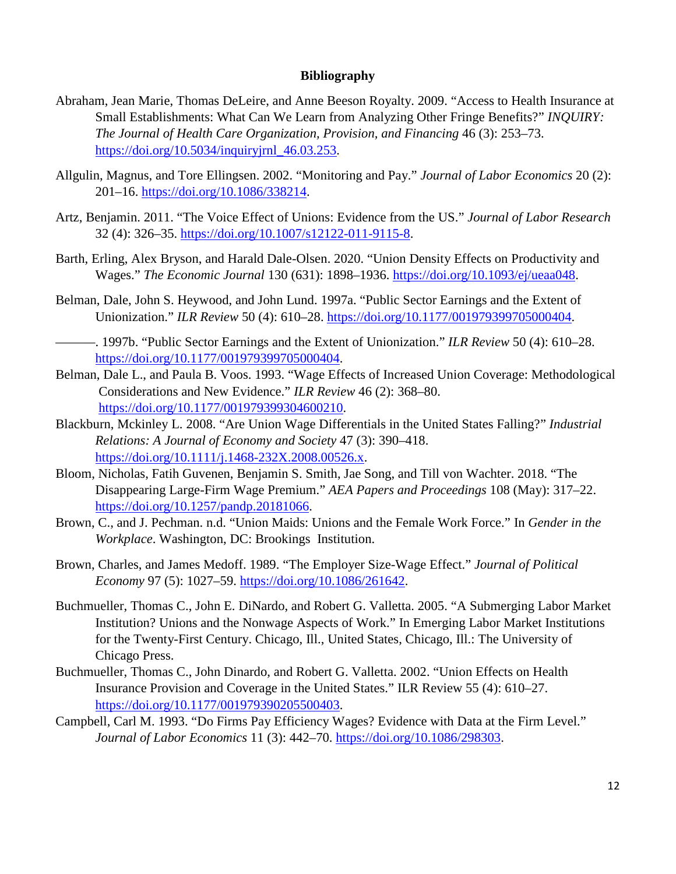## **Bibliography**

- Abraham, Jean Marie, Thomas DeLeire, and Anne Beeson Royalty. 2009. "Access to Health Insurance at Small Establishments: What Can We Learn from Analyzing Other Fringe Benefits?" *INQUIRY: The Journal of Health Care Organization, Provision, and Financing* 46 (3): 253–73. https://doi.org/10.5034/inquiryjrnl\_46.03.253.
- Allgulin, Magnus, and Tore Ellingsen. 2002. "Monitoring and Pay." *Journal of Labor Economics* 20 (2): 201–16. https://doi.org/10.1086/338214.
- Artz, Benjamin. 2011. "The Voice Effect of Unions: Evidence from the US." *Journal of Labor Research* 32 (4): 326–35. https://doi.org/10.1007/s12122-011-9115-8.
- Barth, Erling, Alex Bryson, and Harald Dale-Olsen. 2020. "Union Density Effects on Productivity and Wages." *The Economic Journal* 130 (631): 1898–1936. https://doi.org/10.1093/ej/ueaa048.
- Belman, Dale, John S. Heywood, and John Lund. 1997a. "Public Sector Earnings and the Extent of Unionization." *ILR Review* 50 (4): 610–28. https://doi.org/10.1177/001979399705000404.
- ———. 1997b. "Public Sector Earnings and the Extent of Unionization." *ILR Review* 50 (4): 610–28. https://doi.org/10.1177/001979399705000404.
- Belman, Dale L., and Paula B. Voos. 1993. "Wage Effects of Increased Union Coverage: Methodological Considerations and New Evidence." *ILR Review* 46 (2): 368–80. https://doi.org/10.1177/001979399304600210.
- Blackburn, Mckinley L. 2008. "Are Union Wage Differentials in the United States Falling?" *Industrial Relations: A Journal of Economy and Society* 47 (3): 390–418. https://doi.org/10.1111/j.1468-232X.2008.00526.x.
- Bloom, Nicholas, Fatih Guvenen, Benjamin S. Smith, Jae Song, and Till von Wachter. 2018. "The Disappearing Large-Firm Wage Premium." *AEA Papers and Proceedings* 108 (May): 317–22. https://doi.org/10.1257/pandp.20181066.
- Brown, C., and J. Pechman. n.d. "Union Maids: Unions and the Female Work Force." In *Gender in the Workplace*. Washington, DC: Brookings Institution.
- Brown, Charles, and James Medoff. 1989. "The Employer Size-Wage Effect." *Journal of Political Economy* 97 (5): 1027–59. https://doi.org/10.1086/261642.
- Buchmueller, Thomas C., John E. DiNardo, and Robert G. Valletta. 2005. "A Submerging Labor Market Institution? Unions and the Nonwage Aspects of Work." In Emerging Labor Market Institutions for the Twenty-First Century. Chicago, Ill., United States, Chicago, Ill.: The University of Chicago Press.
- Buchmueller, Thomas C., John Dinardo, and Robert G. Valletta. 2002. "Union Effects on Health Insurance Provision and Coverage in the United States." ILR Review 55 (4): 610–27. https://doi.org/10.1177/001979390205500403.
- Campbell, Carl M. 1993. "Do Firms Pay Efficiency Wages? Evidence with Data at the Firm Level." *Journal of Labor Economics* 11 (3): 442–70. https://doi.org/10.1086/298303.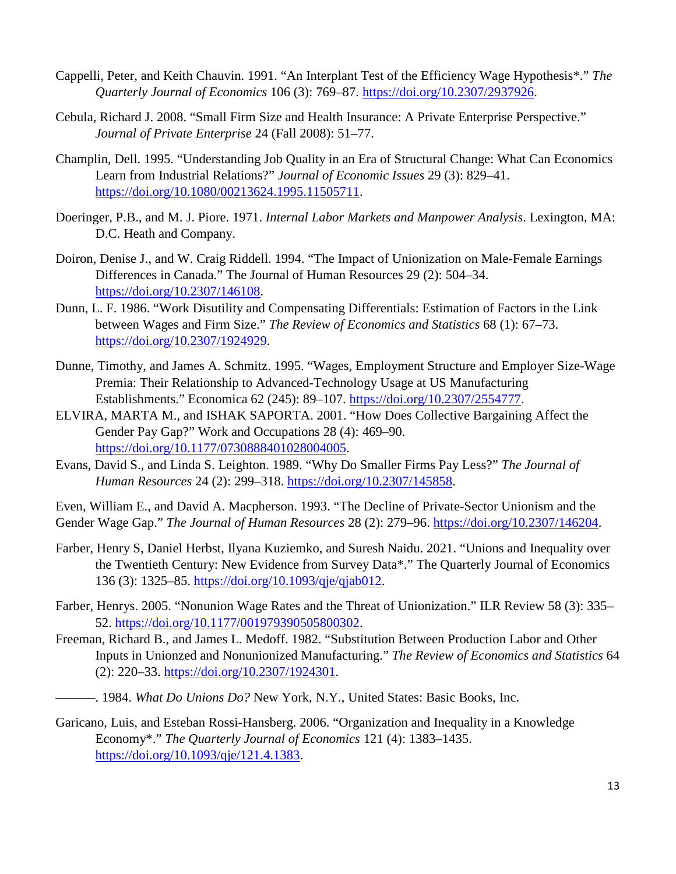- Cappelli, Peter, and Keith Chauvin. 1991. "An Interplant Test of the Efficiency Wage Hypothesis\*." *The Quarterly Journal of Economics* 106 (3): 769–87. https://doi.org/10.2307/2937926.
- Cebula, Richard J. 2008. "Small Firm Size and Health Insurance: A Private Enterprise Perspective." *Journal of Private Enterprise* 24 (Fall 2008): 51–77.
- Champlin, Dell. 1995. "Understanding Job Quality in an Era of Structural Change: What Can Economics Learn from Industrial Relations?" *Journal of Economic Issues* 29 (3): 829–41. https://doi.org/10.1080/00213624.1995.11505711.
- Doeringer, P.B., and M. J. Piore. 1971. *Internal Labor Markets and Manpower Analysis*. Lexington, MA: D.C. Heath and Company.
- Doiron, Denise J., and W. Craig Riddell. 1994. "The Impact of Unionization on Male-Female Earnings Differences in Canada." The Journal of Human Resources 29 (2): 504–34. https://doi.org/10.2307/146108.
- Dunn, L. F. 1986. "Work Disutility and Compensating Differentials: Estimation of Factors in the Link between Wages and Firm Size." *The Review of Economics and Statistics* 68 (1): 67–73. https://doi.org/10.2307/1924929.
- Dunne, Timothy, and James A. Schmitz. 1995. "Wages, Employment Structure and Employer Size-Wage Premia: Their Relationship to Advanced-Technology Usage at US Manufacturing Establishments." Economica 62 (245): 89–107. https://doi.org/10.2307/2554777.
- ELVIRA, MARTA M., and ISHAK SAPORTA. 2001. "How Does Collective Bargaining Affect the Gender Pay Gap?" Work and Occupations 28 (4): 469–90. https://doi.org/10.1177/0730888401028004005.
- Evans, David S., and Linda S. Leighton. 1989. "Why Do Smaller Firms Pay Less?" *The Journal of Human Resources* 24 (2): 299–318. https://doi.org/10.2307/145858.

Even, William E., and David A. Macpherson. 1993. "The Decline of Private-Sector Unionism and the Gender Wage Gap." *The Journal of Human Resources* 28 (2): 279–96. https://doi.org/10.2307/146204.

- Farber, Henry S, Daniel Herbst, Ilyana Kuziemko, and Suresh Naidu. 2021. "Unions and Inequality over the Twentieth Century: New Evidence from Survey Data\*." The Quarterly Journal of Economics 136 (3): 1325–85. https://doi.org/10.1093/qje/qjab012.
- Farber, Henrys. 2005. "Nonunion Wage Rates and the Threat of Unionization." ILR Review 58 (3): 335– 52. https://doi.org/10.1177/001979390505800302.
- Freeman, Richard B., and James L. Medoff. 1982. "Substitution Between Production Labor and Other Inputs in Unionzed and Nonunionized Manufacturing." *The Review of Economics and Statistics* 64 (2): 220–33. https://doi.org/10.2307/1924301.
- ———. 1984. *What Do Unions Do?* New York, N.Y., United States: Basic Books, Inc.
- Garicano, Luis, and Esteban Rossi-Hansberg. 2006. "Organization and Inequality in a Knowledge Economy\*." *The Quarterly Journal of Economics* 121 (4): 1383–1435. https://doi.org/10.1093/qje/121.4.1383.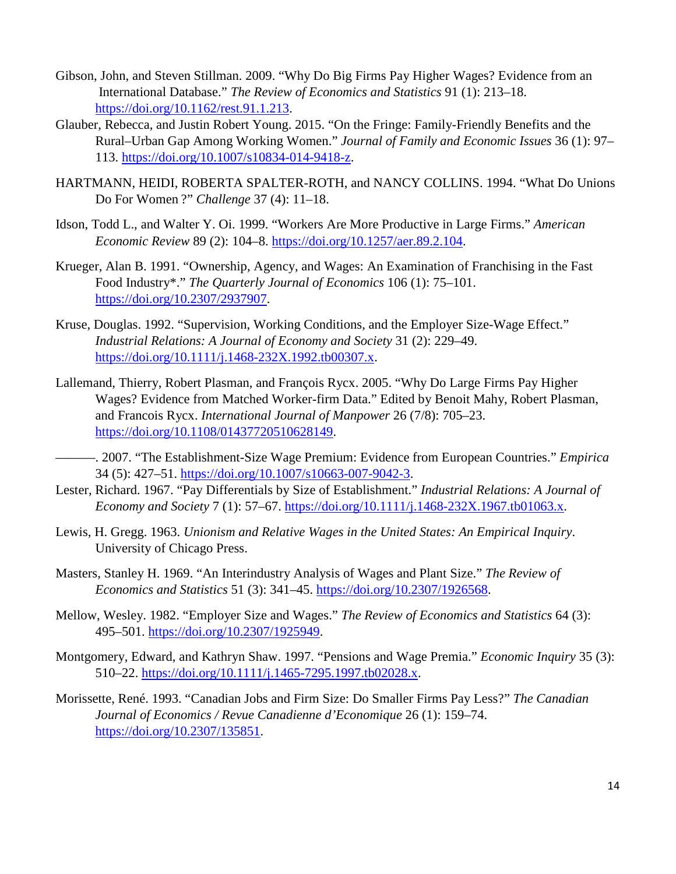- Gibson, John, and Steven Stillman. 2009. "Why Do Big Firms Pay Higher Wages? Evidence from an International Database." *The Review of Economics and Statistics* 91 (1): 213–18. https://doi.org/10.1162/rest.91.1.213.
- Glauber, Rebecca, and Justin Robert Young. 2015. "On the Fringe: Family-Friendly Benefits and the Rural–Urban Gap Among Working Women." *Journal of Family and Economic Issues* 36 (1): 97– 113. https://doi.org/10.1007/s10834-014-9418-z.
- HARTMANN, HEIDI, ROBERTA SPALTER-ROTH, and NANCY COLLINS. 1994. "What Do Unions Do For Women ?" *Challenge* 37 (4): 11–18.
- Idson, Todd L., and Walter Y. Oi. 1999. "Workers Are More Productive in Large Firms." *American Economic Review* 89 (2): 104–8. https://doi.org/10.1257/aer.89.2.104.
- Krueger, Alan B. 1991. "Ownership, Agency, and Wages: An Examination of Franchising in the Fast Food Industry\*." *The Quarterly Journal of Economics* 106 (1): 75–101. https://doi.org/10.2307/2937907.
- Kruse, Douglas. 1992. "Supervision, Working Conditions, and the Employer Size-Wage Effect." *Industrial Relations: A Journal of Economy and Society* 31 (2): 229–49. https://doi.org/10.1111/j.1468-232X.1992.tb00307.x.
- Lallemand, Thierry, Robert Plasman, and François Rycx. 2005. "Why Do Large Firms Pay Higher Wages? Evidence from Matched Worker‐firm Data." Edited by Benoit Mahy, Robert Plasman, and Francois Rycx. *International Journal of Manpower* 26 (7/8): 705–23. https://doi.org/10.1108/01437720510628149.
- ———. 2007. "The Establishment-Size Wage Premium: Evidence from European Countries." *Empirica*  34 (5): 427–51. https://doi.org/10.1007/s10663-007-9042-3.
- Lester, Richard. 1967. "Pay Differentials by Size of Establishment." *Industrial Relations: A Journal of Economy and Society* 7 (1): 57–67. https://doi.org/10.1111/j.1468-232X.1967.tb01063.x.
- Lewis, H. Gregg. 1963. *Unionism and Relative Wages in the United States: An Empirical Inquiry*. University of Chicago Press.
- Masters, Stanley H. 1969. "An Interindustry Analysis of Wages and Plant Size." *The Review of Economics and Statistics* 51 (3): 341–45. https://doi.org/10.2307/1926568.
- Mellow, Wesley. 1982. "Employer Size and Wages." *The Review of Economics and Statistics* 64 (3): 495–501. https://doi.org/10.2307/1925949.
- Montgomery, Edward, and Kathryn Shaw. 1997. "Pensions and Wage Premia." *Economic Inquiry* 35 (3): 510–22. https://doi.org/10.1111/j.1465-7295.1997.tb02028.x.
- Morissette, René. 1993. "Canadian Jobs and Firm Size: Do Smaller Firms Pay Less?" *The Canadian Journal of Economics / Revue Canadienne d'Economique* 26 (1): 159–74. https://doi.org/10.2307/135851.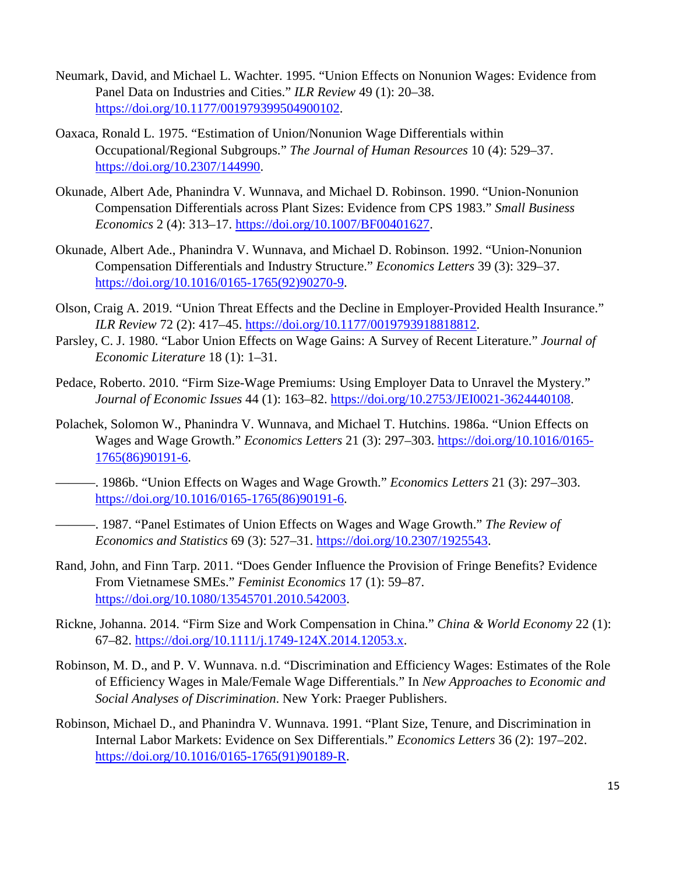- Neumark, David, and Michael L. Wachter. 1995. "Union Effects on Nonunion Wages: Evidence from Panel Data on Industries and Cities." *ILR Review* 49 (1): 20–38. https://doi.org/10.1177/001979399504900102.
- Oaxaca, Ronald L. 1975. "Estimation of Union/Nonunion Wage Differentials within Occupational/Regional Subgroups." *The Journal of Human Resources* 10 (4): 529–37. https://doi.org/10.2307/144990.
- Okunade, Albert Ade, Phanindra V. Wunnava, and Michael D. Robinson. 1990. "Union-Nonunion Compensation Differentials across Plant Sizes: Evidence from CPS 1983." *Small Business Economics* 2 (4): 313–17. https://doi.org/10.1007/BF00401627.
- Okunade, Albert Ade., Phanindra V. Wunnava, and Michael D. Robinson. 1992. "Union-Nonunion Compensation Differentials and Industry Structure." *Economics Letters* 39 (3): 329–37. https://doi.org/10.1016/0165-1765(92)90270-9.
- Olson, Craig A. 2019. "Union Threat Effects and the Decline in Employer-Provided Health Insurance." *ILR Review* 72 (2): 417–45. https://doi.org/10.1177/0019793918818812.
- Parsley, C. J. 1980. "Labor Union Effects on Wage Gains: A Survey of Recent Literature." *Journal of Economic Literature* 18 (1): 1–31.
- Pedace, Roberto. 2010. "Firm Size-Wage Premiums: Using Employer Data to Unravel the Mystery." *Journal of Economic Issues* 44 (1): 163–82. https://doi.org/10.2753/JEI0021-3624440108.
- Polachek, Solomon W., Phanindra V. Wunnava, and Michael T. Hutchins. 1986a. "Union Effects on Wages and Wage Growth." *Economics Letters* 21 (3): 297–303. https://doi.org/10.1016/0165- 1765(86)90191-6.
- ———. 1986b. "Union Effects on Wages and Wage Growth." *Economics Letters* 21 (3): 297–303. https://doi.org/10.1016/0165-1765(86)90191-6.
	- ———. 1987. "Panel Estimates of Union Effects on Wages and Wage Growth." *The Review of Economics and Statistics* 69 (3): 527–31. https://doi.org/10.2307/1925543.
- Rand, John, and Finn Tarp. 2011. "Does Gender Influence the Provision of Fringe Benefits? Evidence From Vietnamese SMEs." *Feminist Economics* 17 (1): 59–87. https://doi.org/10.1080/13545701.2010.542003.
- Rickne, Johanna. 2014. "Firm Size and Work Compensation in China." *China & World Economy* 22 (1): 67–82. https://doi.org/10.1111/j.1749-124X.2014.12053.x.
- Robinson, M. D., and P. V. Wunnava. n.d. "Discrimination and Efficiency Wages: Estimates of the Role of Efficiency Wages in Male/Female Wage Differentials." In *New Approaches to Economic and Social Analyses of Discrimination*. New York: Praeger Publishers.
- Robinson, Michael D., and Phanindra V. Wunnava. 1991. "Plant Size, Tenure, and Discrimination in Internal Labor Markets: Evidence on Sex Differentials." *Economics Letters* 36 (2): 197–202. https://doi.org/10.1016/0165-1765(91)90189-R.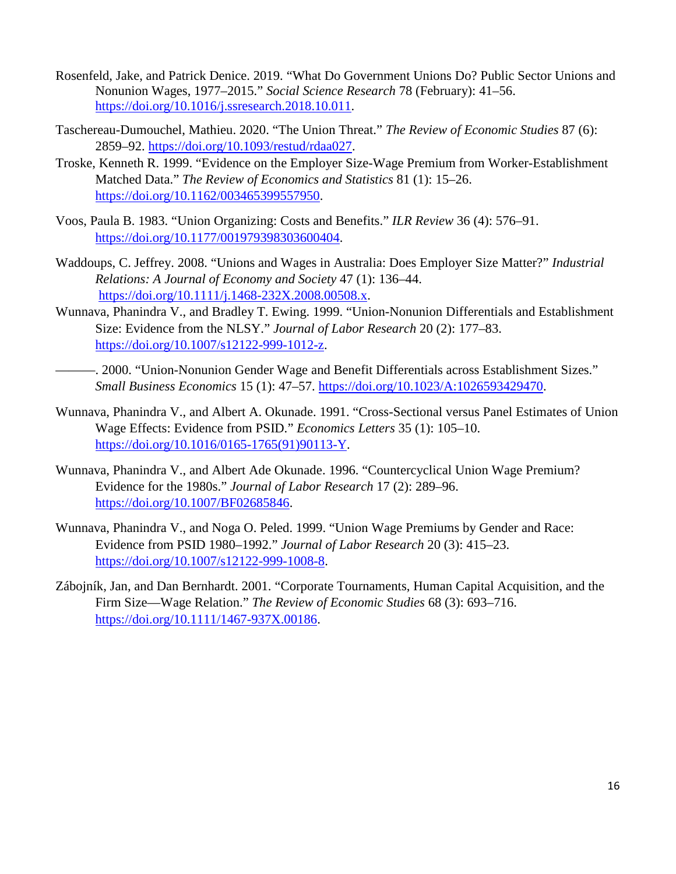- Rosenfeld, Jake, and Patrick Denice. 2019. "What Do Government Unions Do? Public Sector Unions and Nonunion Wages, 1977–2015." *Social Science Research* 78 (February): 41–56. https://doi.org/10.1016/j.ssresearch.2018.10.011.
- Taschereau-Dumouchel, Mathieu. 2020. "The Union Threat." *The Review of Economic Studies* 87 (6): 2859–92. https://doi.org/10.1093/restud/rdaa027.
- Troske, Kenneth R. 1999. "Evidence on the Employer Size-Wage Premium from Worker-Establishment Matched Data." *The Review of Economics and Statistics* 81 (1): 15–26. https://doi.org/10.1162/003465399557950.
- Voos, Paula B. 1983. "Union Organizing: Costs and Benefits." *ILR Review* 36 (4): 576–91. https://doi.org/10.1177/001979398303600404.
- Waddoups, C. Jeffrey. 2008. "Unions and Wages in Australia: Does Employer Size Matter?" *Industrial Relations: A Journal of Economy and Society* 47 (1): 136–44. https://doi.org/10.1111/j.1468-232X.2008.00508.x.
- Wunnava, Phanindra V., and Bradley T. Ewing. 1999. "Union-Nonunion Differentials and Establishment Size: Evidence from the NLSY." *Journal of Labor Research* 20 (2): 177–83. https://doi.org/10.1007/s12122-999-1012-z.
- ———. 2000. "Union-Nonunion Gender Wage and Benefit Differentials across Establishment Sizes." *Small Business Economics* 15 (1): 47–57. https://doi.org/10.1023/A:1026593429470.
- Wunnava, Phanindra V., and Albert A. Okunade. 1991. "Cross-Sectional versus Panel Estimates of Union Wage Effects: Evidence from PSID." *Economics Letters* 35 (1): 105–10. https://doi.org/10.1016/0165-1765(91)90113-Y.
- Wunnava, Phanindra V., and Albert Ade Okunade. 1996. "Countercyclical Union Wage Premium? Evidence for the 1980s." *Journal of Labor Research* 17 (2): 289–96. https://doi.org/10.1007/BF02685846.
- Wunnava, Phanindra V., and Noga O. Peled. 1999. "Union Wage Premiums by Gender and Race: Evidence from PSID 1980–1992." *Journal of Labor Research* 20 (3): 415–23. https://doi.org/10.1007/s12122-999-1008-8.
- Zábojník, Jan, and Dan Bernhardt. 2001. "Corporate Tournaments, Human Capital Acquisition, and the Firm Size—Wage Relation." *The Review of Economic Studies* 68 (3): 693–716. https://doi.org/10.1111/1467-937X.00186.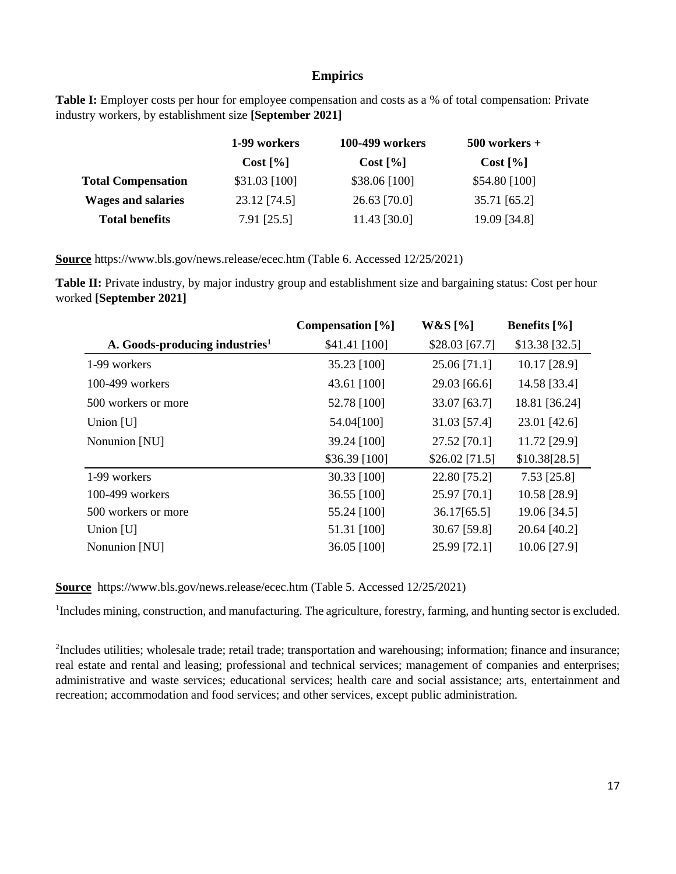## **Empirics**

Table I: Employer costs per hour for employee compensation and costs as a % of total compensation: Private industry workers, by establishment size **[September 2021]**

|                           | 1-99 workers   | 100-499 workers | $500$ workers + |  |  |
|---------------------------|----------------|-----------------|-----------------|--|--|
|                           | Cost [%]       | Cost [%]        | Cost [%]        |  |  |
| <b>Total Compensation</b> | $$31.03$ [100] | $$38.06$ [100]  | \$54.80 [100]   |  |  |
| <b>Wages and salaries</b> | 23.12 [74.5]   | $26.63$ [70.0]  | 35.71 [65.2]    |  |  |
| <b>Total benefits</b>     | 7.91 [25.5]    | 11.43 [30.0]    | 19.09 [34.8]    |  |  |

**Source** https://www.bls.gov/news.release/ecec.htm (Table 6. Accessed 12/25/2021)

**Table II:** Private industry, by major industry group and establishment size and bargaining status: Cost per hour worked **[September 2021]**

|                                            | Compensation [%] | W&S[%]          | <b>Benefits</b> [%] |
|--------------------------------------------|------------------|-----------------|---------------------|
| A. Goods-producing industries <sup>1</sup> | \$41.41 [100]    | $$28.03$ [67.7] | $$13.38$ [32.5]     |
| 1-99 workers                               | 35.23 [100]      | 25.06 [71.1]    | 10.17 [28.9]        |
| $100-499$ workers                          | 43.61 [100]      | 29.03 [66.6]    | 14.58 [33.4]        |
| 500 workers or more                        | 52.78 [100]      | 33.07 [63.7]    | 18.81 [36.24]       |
| Union $[U]$                                | 54.04[100]       | 31.03 [57.4]    | 23.01 [42.6]        |
| Nonunion [NU]                              | 39.24 [100]      | 27.52 [70.1]    | 11.72 [29.9]        |
|                                            | \$36.39 [100]    | $$26.02$ [71.5] | \$10.38[28.5]       |
| 1-99 workers                               | 30.33 [100]      | 22.80 [75.2]    | $7.53$ [25.8]       |
| $100-499$ workers                          | 36.55 [100]      | 25.97 [70.1]    | 10.58 [28.9]        |
| 500 workers or more                        | 55.24 [100]      | 36.17[65.5]     | 19.06 [34.5]        |
| Union $[U]$                                | 51.31 [100]      | 30.67 [59.8]    | 20.64 [40.2]        |
| Nonunion [NU]                              | 36.05 [100]      | 25.99 [72.1]    | 10.06 [27.9]        |

**Source** https://www.bls.gov/news.release/ecec.htm (Table 5. Accessed 12/25/2021)

<sup>1</sup>Includes mining, construction, and manufacturing. The agriculture, forestry, farming, and hunting sector is excluded.

<sup>2</sup>Includes utilities; wholesale trade; retail trade; transportation and warehousing; information; finance and insurance; real estate and rental and leasing; professional and technical services; management of companies and enterprises; administrative and waste services; educational services; health care and social assistance; arts, entertainment and recreation; accommodation and food services; and other services, except public administration.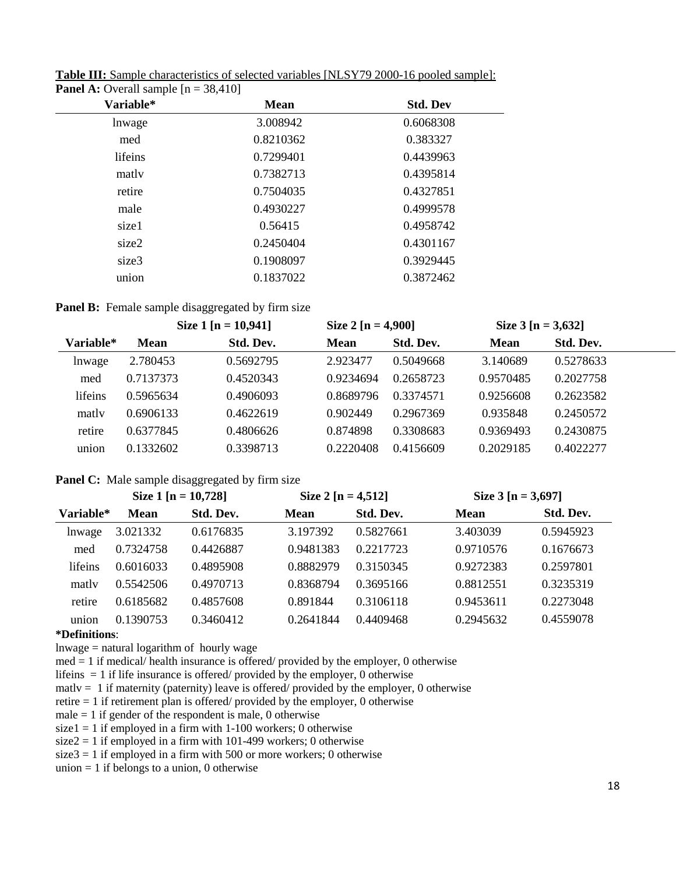| Variable* | <b>Mean</b> | <b>Std. Dev</b> |
|-----------|-------------|-----------------|
| lnwage    | 3.008942    | 0.6068308       |
| med       | 0.8210362   | 0.383327        |
| lifeins   | 0.7299401   | 0.4439963       |
| matly     | 0.7382713   | 0.4395814       |
| retire    | 0.7504035   | 0.4327851       |
| male      | 0.4930227   | 0.4999578       |
| size1     | 0.56415     | 0.4958742       |
| size2     | 0.2450404   | 0.4301167       |
| size3     | 0.1908097   | 0.3929445       |
| union     | 0.1837022   | 0.3872462       |
|           |             |                 |

**Table III:** Sample characteristics of selected variables [NLSY79 2000-16 pooled sample]: **Panel A:** Overall sample  $[n = 38.410]$ 

**Panel B:** Female sample disaggregated by firm size

|           |             | Size 1 [n = $10,941$ ] | Size $2 [n = 4,900]$ |           | Size $3 [n = 3,632]$ |           |  |
|-----------|-------------|------------------------|----------------------|-----------|----------------------|-----------|--|
| Variable* | <b>Mean</b> | Std. Dev.              | <b>Mean</b>          | Std. Dev. | <b>Mean</b>          | Std. Dev. |  |
| lnwage    | 2.780453    | 0.5692795              | 2.923477             | 0.5049668 | 3.140689             | 0.5278633 |  |
| med       | 0.7137373   | 0.4520343              | 0.9234694            | 0.2658723 | 0.9570485            | 0.2027758 |  |
| lifeins   | 0.5965634   | 0.4906093              | 0.8689796            | 0.3374571 | 0.9256608            | 0.2623582 |  |
| matly     | 0.6906133   | 0.4622619              | 0.902449             | 0.2967369 | 0.935848             | 0.2450572 |  |
| retire    | 0.6377845   | 0.4806626              | 0.874898             | 0.3308683 | 0.9369493            | 0.2430875 |  |
| union     | 0.1332602   | 0.3398713              | 0.2220408            | 0.4156609 | 0.2029185            | 0.4022277 |  |

## **Panel C:** Male sample disaggregated by firm size

|           | Size 1 [n = $10,728$ ] |           | Size 2 [n = 4,512] |           | Size $3 [n = 3,697]$ |           |  |
|-----------|------------------------|-----------|--------------------|-----------|----------------------|-----------|--|
| Variable* | <b>Mean</b>            | Std. Dev. | <b>Mean</b>        | Std. Dev. | <b>Mean</b>          | Std. Dev. |  |
| lnwage    | 3.021332               | 0.6176835 | 3.197392           | 0.5827661 | 3.403039             | 0.5945923 |  |
| med       | 0.7324758              | 0.4426887 | 0.9481383          | 0.2217723 | 0.9710576            | 0.1676673 |  |
| lifeins   | 0.6016033              | 0.4895908 | 0.8882979          | 0.3150345 | 0.9272383            | 0.2597801 |  |
| matly     | 0.5542506              | 0.4970713 | 0.8368794          | 0.3695166 | 0.8812551            | 0.3235319 |  |
| retire    | 0.6185682              | 0.4857608 | 0.891844           | 0.3106118 | 0.9453611            | 0.2273048 |  |
| union     | 0.1390753              | 0.3460412 | 0.2641844          | 0.4409468 | 0.2945632            | 0.4559078 |  |

#### **\*Definitions**:

lnwage = natural logarithm of hourly wage

 $med = 1$  if medical/ health insurance is offered/ provided by the employer, 0 otherwise

lifeins  $= 1$  if life insurance is offered/ provided by the employer, 0 otherwise

matly  $= 1$  if maternity (paternity) leave is offered/ provided by the employer, 0 otherwise

retire = 1 if retirement plan is offered/ provided by the employer, 0 otherwise

male  $= 1$  if gender of the respondent is male, 0 otherwise

size1 = 1 if employed in a firm with  $1-100$  workers; 0 otherwise

size $2 = 1$  if employed in a firm with 101-499 workers; 0 otherwise

size  $3 = 1$  if employed in a firm with 500 or more workers; 0 otherwise

union  $= 1$  if belongs to a union, 0 otherwise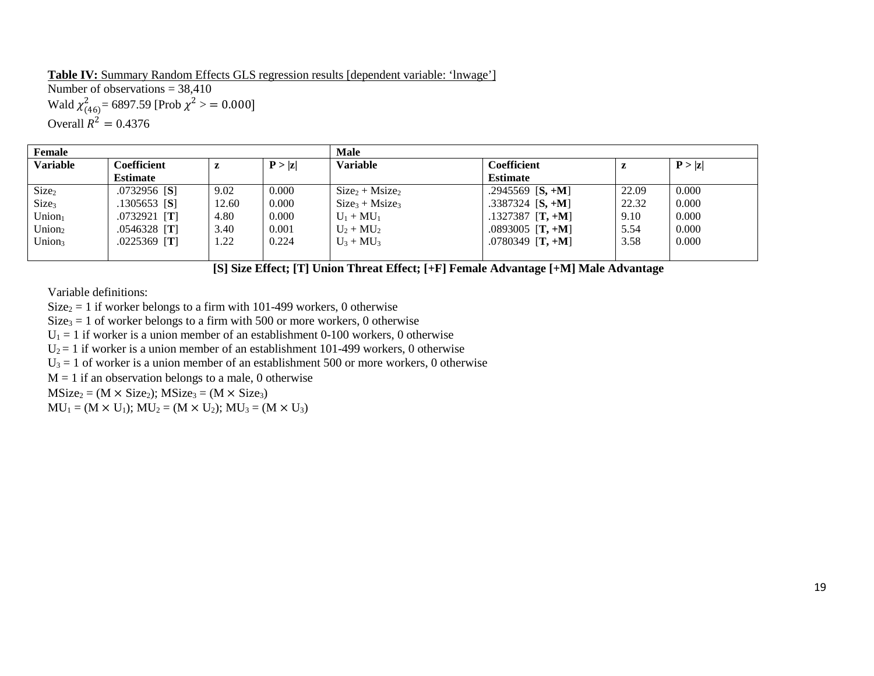**Table IV:** Summary Random Effects GLS regression results [dependent variable: 'lnwage']Number of observations  $= 38,410$ Wald  $\chi^2_{(46)}$  = 6897.59 [Prob  $\chi^2$  > = 0.000] Overall  $R^2 = 0.4376$ 

| Female             |                       |       |        | <b>Male</b>      |                              |       |        |  |  |  |
|--------------------|-----------------------|-------|--------|------------------|------------------------------|-------|--------|--|--|--|
| <b>Variable</b>    | <b>Coefficient</b>    | z     | P >  z | <b>Variable</b>  | <b>Coefficient</b>           | z     | P >  z |  |  |  |
|                    | <b>Estimate</b>       |       |        |                  | <b>Estimate</b>              |       |        |  |  |  |
| Size <sub>2</sub>  | .0732956 [S]          | 9.02  | 0.000  | $Size2 + Msize2$ | $.2945569$ [S, +M]           | 22.09 | 0.000  |  |  |  |
| Size <sub>3</sub>  | .1305653 [ <b>S</b> ] | 12.60 | 0.000  | $Size3 + Msize3$ | .3387324 $[S, +M]$           | 22.32 | 0.000  |  |  |  |
| Union <sub>1</sub> | $.0732921$ [T]        | 4.80  | 0.000  | $U_1 + MU_1$     | $.1327387$ [T, +M]           | 9.10  | 0.000  |  |  |  |
| Union <sub>2</sub> | $.0546328$ [T]        | 3.40  | 0.001  | $U_2 + MU_2$     | $.0893005$ [T, +M]           | 5.54  | 0.000  |  |  |  |
| Union <sub>3</sub> | $.0225369$ [T]        | 1.22  | 0.224  | $U_3 + MU_3$     | .0780349 [ <b>T</b> , $+M$ ] | 3.58  | 0.000  |  |  |  |
|                    |                       |       |        |                  |                              |       |        |  |  |  |

 **[S] Size Effect; [T] Union Threat Effect; [+F] Female Advantage [+M] Male Advantage** 

Variable definitions:

 $Size_2 = 1$  if worker belongs to a firm with 101-499 workers, 0 otherwise

 $Size_3 = 1$  of worker belongs to a firm with 500 or more workers, 0 otherwise

 $U_1 = 1$  if worker is a union member of an establishment 0-100 workers, 0 otherwise

 $U_2 = 1$  if worker is a union member of an establishment 101-499 workers, 0 otherwise

 $U_3 = 1$  of worker is a union member of an establishment 500 or more workers, 0 otherwise

 $M = 1$  if an observation belongs to a male, 0 otherwise

 $MSize_2 = (M \times Size_2); MSize_3 = (M \times Size_3)$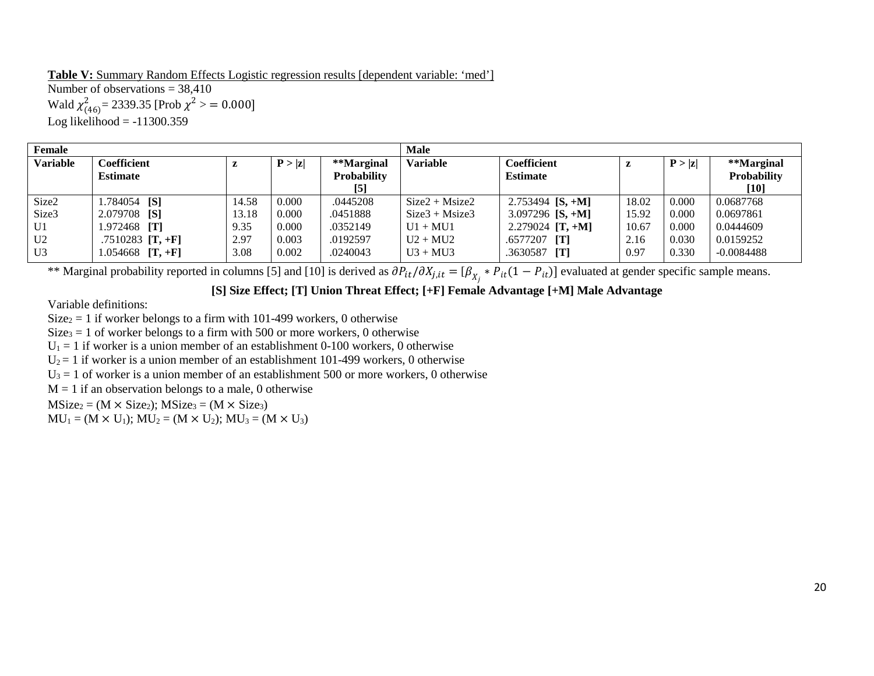**Table V:** Summary Random Effects Logistic regression results [dependent variable: 'med'] Number of observations  $= 38.410$ Wald  $\chi^2_{(46)}$  = 2339.35 [Prob  $\chi^2$  > = 0.000] Log likelihood  $= -11300.359$ 

| <b>Female</b>   |                     |       |        |                    | <b>Male</b>      |                    |       |        |              |
|-----------------|---------------------|-------|--------|--------------------|------------------|--------------------|-------|--------|--------------|
| <b>Variable</b> | <b>Coefficient</b>  | z     | P >  z | **Marginal         | <b>Variable</b>  | Coefficient        | z     | P >  z | **Marginal   |
|                 | <b>Estimate</b>     |       |        | <b>Probability</b> |                  | <b>Estimate</b>    |       |        | Probability  |
|                 |                     |       |        | $\left[5\right]$   |                  |                    |       |        | $[10]$       |
| Size2           | 1.784054 [S]        | 14.58 | 0.000  | .0445208           | $Size2 + Msize2$ | 2.753494 $[S, +M]$ | 18.02 | 0.000  | 0.0687768    |
| Size3           | 2.079708 [S]        | 13.18 | 0.000  | .0451888           | $Size3 + Msize3$ | 3.097296 $[S, +M]$ | 15.92 | 0.000  | 0.0697861    |
| U <sub>1</sub>  | 1.972468 <b>[T]</b> | 9.35  | 0.000  | .0352149           | $U1 + MU1$       | 2.279024 $[T, +M]$ | 10.67 | 0.000  | 0.0444609    |
| U <sub>2</sub>  | .7510283 $[T, +F]$  | 2.97  | 0.003  | .0192597           | $U2 + MU2$       | $.6577207$ [T]     | 2.16  | 0.030  | 0.0159252    |
| U <sub>3</sub>  | $1.054668$ [T, +F]  | 3.08  | 0.002  | .0240043           | $U3 + MU3$       | .3630587<br>[T]    | 0.97  | 0.330  | $-0.0084488$ |

\*\* Marginal probability reported in columns [5] and [10] is derived as  $\partial P_{it}/\partial X_{j, it} = [\beta_{X_j} * P_{it}(1 - P_{it})]$  evaluated at gender specific sample means.

## **[S] Size Effect; [T] Union Threat Effect; [+F] Female Advantage [+M] Male Advantage**

Variable definitions:

 $Size_2 = 1$  if worker belongs to a firm with 101-499 workers, 0 otherwise

 $Size_3 = 1$  of worker belongs to a firm with 500 or more workers, 0 otherwise

 $U_1 = 1$  if worker is a union member of an establishment 0-100 workers, 0 otherwise

 $U_2 = 1$  if worker is a union member of an establishment 101-499 workers, 0 otherwise

 $U_3 = 1$  of worker is a union member of an establishment 500 or more workers, 0 otherwise

 $M = 1$  if an observation belongs to a male, 0 otherwise

 $MSize_2 = (M \times Size_2); MSize_3 = (M \times Size_3)$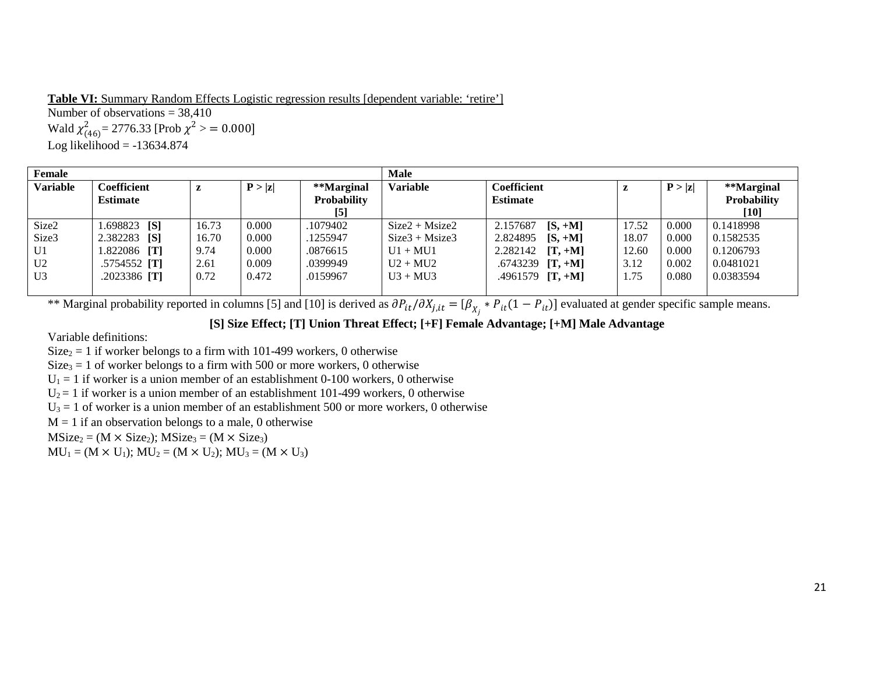**Table VI:** Summary Random Effects Logistic regression results [dependent variable: 'retire'] Number of observations  $= 38,410$ Wald  $\chi^2_{(46)}$  = 2776.33 [Prob  $\chi^2$  > = 0.000] Log likelihood  $= -13634.874$ 

| Female          |                       |       |        |                    | <b>Male</b>      |                       |       |        |             |
|-----------------|-----------------------|-------|--------|--------------------|------------------|-----------------------|-------|--------|-------------|
| <b>Variable</b> | Coefficient           | L     | P >  z | **Marginal         | <b>Variable</b>  | <b>Coefficient</b>    | Z     | P >  z | **Marginal  |
|                 | <b>Estimate</b>       |       |        | <b>Probability</b> |                  | <b>Estimate</b>       |       |        | Probability |
|                 |                       |       |        | $[5]$              |                  |                       |       |        | $[10]$      |
| Size2           | $1.698823$ [S]        | 16.73 | 0.000  | .1079402           | $Size2 + Msize2$ | 2.157687<br>$[S, +M]$ | 17.52 | 0.000  | 0.1418998   |
| Size3           | 2.382283<br>[S]       | 16.70 | 0.000  | .1255947           | $Size3 + Msize3$ | 2.824895<br>$[S, +M]$ | 18.07 | 0.000  | 0.1582535   |
| U <sub>1</sub>  | 1.822086<br>[T]       | 9.74  | 0.000  | .0876615           | $U1 + MU1$       | 2.282142<br>$[T, +M]$ | 12.60 | 0.000  | 0.1206793   |
| U <sub>2</sub>  | $.5754552$ [T]        | 2.61  | 0.009  | .0399949           | $U2 + MU2$       | .6743239<br>$[T, +M]$ | 3.12  | 0.002  | 0.0481021   |
| U <sub>3</sub>  | .2023386 [ <b>T</b> ] | 0.72  | 0.472  | .0159967           | $U3 + MU3$       | .4961579 $[T, +M]$    | 1.75  | 0.080  | 0.0383594   |
|                 |                       |       |        |                    |                  |                       |       |        |             |

\*\* Marginal probability reported in columns [5] and [10] is derived as  $\partial P_{it}/\partial X_{j,it} = [\beta_{X_j} * P_{it}(1 - P_{it})]$  evaluated at gender specific sample means.

#### **[S] Size Effect; [T] Union Threat Effect; [+F] Female Advantage; [+M] Male Advantage**

Variable definitions:

 $Size_2 = 1$  if worker belongs to a firm with 101-499 workers, 0 otherwise

 $Size<sub>3</sub> = 1$  of worker belongs to a firm with 500 or more workers, 0 otherwise

 $U_1 = 1$  if worker is a union member of an establishment 0-100 workers, 0 otherwise

 $U_2 = 1$  if worker is a union member of an establishment 101-499 workers, 0 otherwise

 $U_3 = 1$  of worker is a union member of an establishment 500 or more workers, 0 otherwise

 $M = 1$  if an observation belongs to a male, 0 otherwise

 $MSize_2 = (M \times Size_2); MSize_3 = (M \times Size_3)$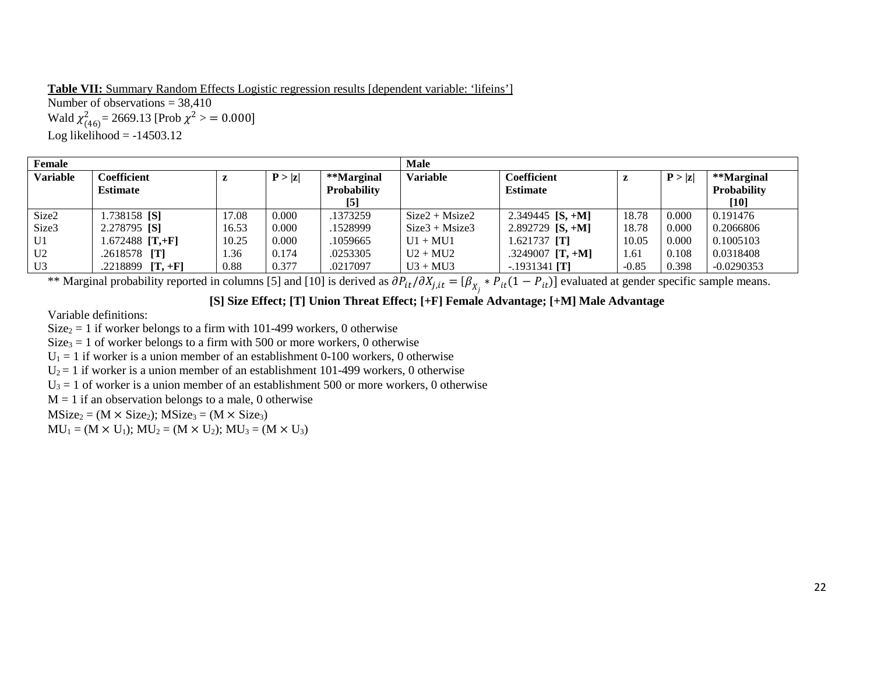**Table VII:** Summary Random Effects Logistic regression results [dependent variable: 'lifeins'] Number of observations  $= 38.410$ Wald  $\chi^2_{(46)}$  = 2669.13 [Prob  $\chi^2$  > = 0.000] Log likelihood  $= -14503.12$ 

| <b>Female</b>   |                       |       |        |                    | <b>Male</b>      |                    |         |        |                    |
|-----------------|-----------------------|-------|--------|--------------------|------------------|--------------------|---------|--------|--------------------|
| <b>Variable</b> | Coefficient           | ı     | P >  z | **Marginal         | <b>Variable</b>  | <b>Coefficient</b> | z       | P >  z | **Marginal         |
|                 | <b>Estimate</b>       |       |        | <b>Probability</b> |                  | <b>Estimate</b>    |         |        | <b>Probability</b> |
|                 |                       |       |        | [5]                |                  |                    |         |        | $[10]$             |
| Size2           | 1.738158 [S]          | 17.08 | 0.000  | .1373259           | $Size2 + Msize2$ | 2.349445 $[S, +M]$ | 18.78   | 0.000  | 0.191476           |
| Size3           | 2.278795 [S]          | 16.53 | 0.000  | .1528999           | $Size3 + Msize3$ | 2.892729 $[S, +M]$ | 18.78   | 0.000  | 0.2066806          |
| U <sub>1</sub>  | $1.672488$ [T,+F]     | 10.25 | 0.000  | .1059665           | $U1 + MU1$       | $1.621737$ [T]     | 10.05   | 0.000  | 0.1005103          |
| U <sub>2</sub>  | .2618578 [ <b>T</b> ] | l.36  | 0.174  | .0253305           | $U2 + MU2$       | .3249007 $[T, +M]$ | 1.61    | 0.108  | 0.0318408          |
| U <sub>3</sub>  | .2218899 $[T, +F]$    | 0.88  | 0.377  | .0217097           | $U3 + MU3$       | $-1931341$ [T]     | $-0.85$ | 0.398  | $-0.0290353$       |

\*\* Marginal probability reported in columns [5] and [10] is derived as  $\partial P_{it}/\partial X_{j, it} = [\beta_{X_j} * P_{it}(1 - P_{it})]$  evaluated at gender specific sample means.

# **[S] Size Effect; [T] Union Threat Effect; [+F] Female Advantage; [+M] Male Advantage**

Variable definitions:

 $Size_2 = 1$  if worker belongs to a firm with 101-499 workers, 0 otherwise

 $Size_3 = 1$  of worker belongs to a firm with 500 or more workers, 0 otherwise

 $U_1 = 1$  if worker is a union member of an establishment 0-100 workers, 0 otherwise

 $U_2 = 1$  if worker is a union member of an establishment 101-499 workers, 0 otherwise

 $U_3 = 1$  of worker is a union member of an establishment 500 or more workers, 0 otherwise

 $M = 1$  if an observation belongs to a male, 0 otherwise

 $MSize_2 = (M \times Size_2); MSize_3 = (M \times Size_3)$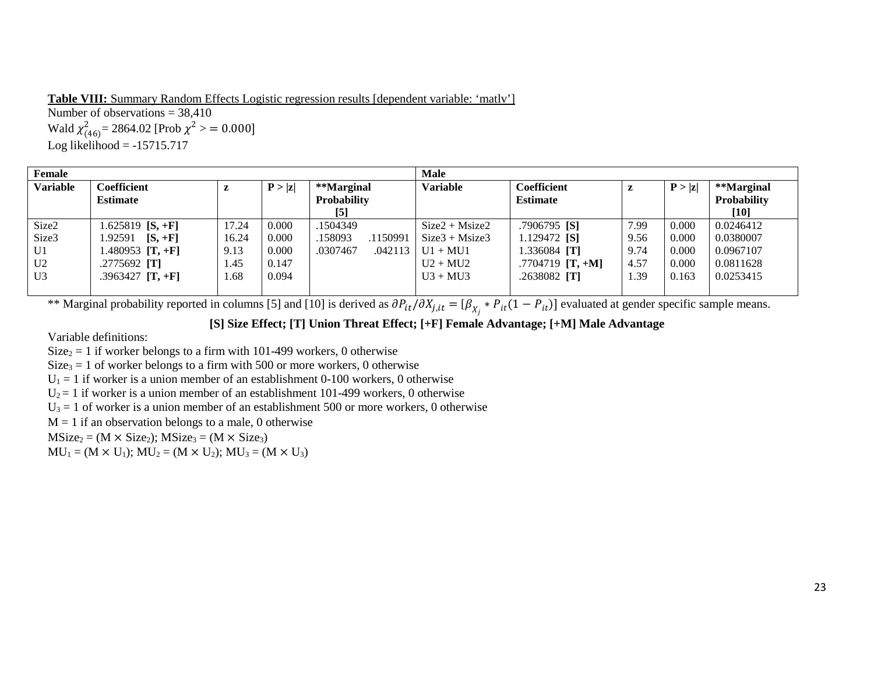**Table VIII:** Summary Random Effects Logistic regression results [dependent variable: 'matlv'] Number of observations  $= 38,410$ Wald  $\chi^2_{(46)}$  = 2864.02 [Prob  $\chi^2$  > = 0.000] Log likelihood  $= -15715.717$ 

| Female          |                     |       |        |                     | Male             |                       |      |        |             |
|-----------------|---------------------|-------|--------|---------------------|------------------|-----------------------|------|--------|-------------|
| <b>Variable</b> | <b>Coefficient</b>  | z     | P >  z | **Marginal          | <b>Variable</b>  | <b>Coefficient</b>    | L    | P >  z | **Marginal  |
|                 | <b>Estimate</b>     |       |        | Probability         |                  | <b>Estimate</b>       |      |        | Probability |
|                 |                     |       |        | $[5]$               |                  |                       |      |        | $[10]$      |
| Size2           | 1.625819 [S, +F]    | 17.24 | 0.000  | .1504349            | $Size2 + Msize2$ | .7906795 [S]          | 7.99 | 0.000  | 0.0246412   |
| Size3           | 1.92591 $[S, +F]$   | 16.24 | 0.000  | .158093<br>.1150991 | $Size3 + Msize3$ | 1.129472 <b>[S]</b>   | 9.56 | 0.000  | 0.0380007   |
| U1              | $.480953$ [T, +F]   | 9.13  | 0.000  | .0307467<br>.042113 | $U1 + MU1$       | 1.336084 [ <b>T</b> ] | 9.74 | 0.000  | 0.0967107   |
| U <sub>2</sub>  | .2775692 <b>[T]</b> | 1.45  | 0.147  |                     | $U2 + MU2$       | .7704719 $[T, +M]$    | 4.57 | 0.000  | 0.0811628   |
| U3              | $.3963427$ [T, +F]  | 1.68  | 0.094  |                     | $U3 + MU3$       | $.2638082$ [T]        | 1.39 | 0.163  | 0.0253415   |
|                 |                     |       |        |                     |                  |                       |      |        |             |

\*\* Marginal probability reported in columns [5] and [10] is derived as  $\partial P_{it}/\partial X_{j,it} = [\beta_{X_j} * P_{it}(1 - P_{it})]$  evaluated at gender specific sample means.

**[S] Size Effect; [T] Union Threat Effect; [+F] Female Advantage; [+M] Male Advantage** 

Variable definitions:

 $Size_2 = 1$  if worker belongs to a firm with 101-499 workers, 0 otherwise

 $Size<sub>3</sub> = 1$  of worker belongs to a firm with 500 or more workers, 0 otherwise

 $U_1 = 1$  if worker is a union member of an establishment 0-100 workers, 0 otherwise

 $U_2 = 1$  if worker is a union member of an establishment 101-499 workers, 0 otherwise

 $U_3 = 1$  of worker is a union member of an establishment 500 or more workers, 0 otherwise

 $M = 1$  if an observation belongs to a male, 0 otherwise

 $MSize_2 = (M \times Size_2); MSize_3 = (M \times Size_3)$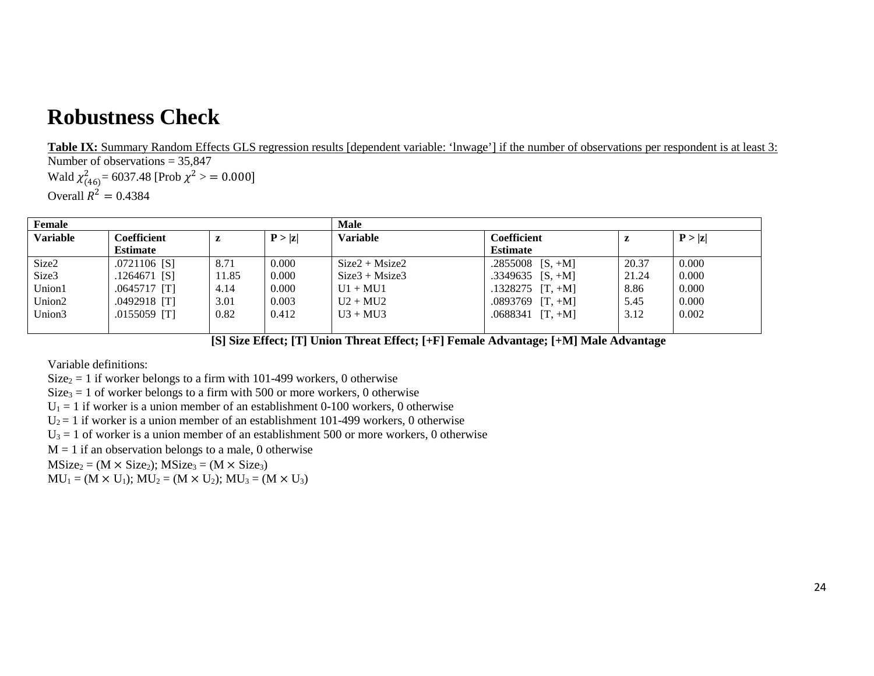# **Robustness Check**

**Table IX:** Summary Random Effects GLS regression results [dependent variable: 'lnwage'] if the number of observations per respondent is at least 3: Number of observations  $= 35,847$ 

Wald  $\chi^2_{(46)}$ = 6037.48 [Prob  $\chi^2$  > = 0.000] Overall  $R^2 = 0.4384$ 

| Female             |                 |       |        | <b>Male</b>      |                    |       |        |  |
|--------------------|-----------------|-------|--------|------------------|--------------------|-------|--------|--|
| <b>Variable</b>    | Coefficient     | z     | P >  z | <b>Variable</b>  | Coefficient        | L     | P >  z |  |
|                    | <b>Estimate</b> |       |        |                  | <b>Estimate</b>    |       |        |  |
| Size2              | $.0721106$ [S]  | 8.71  | 0.000  | $Size2 + Msize2$ | .2855008 $[S, +M]$ | 20.37 | 0.000  |  |
| Size3              | $.1264671$ [S]  | 11.85 | 0.000  | $Size3 + Msize3$ | .3349635 $[S, +M]$ | 21.24 | 0.000  |  |
| Union1             | $.0645717$ [T]  | 4.14  | 0.000  | $U1 + MU1$       | $.1328275$ [T, +M] | 8.86  | 0.000  |  |
| Union <sub>2</sub> | $.0492918$ [T]  | 3.01  | 0.003  | $U2 + MU2$       | $.0893769$ [T, +M] | 5.45  | 0.000  |  |
| Union3             | $.0155059$ [T]  | 0.82  | 0.412  | $U3 + MU3$       | $.0688341$ [T, +M] | 3.12  | 0.002  |  |
|                    |                 |       |        |                  |                    |       |        |  |

 **[S] Size Effect; [T] Union Threat Effect; [+F] Female Advantage; [+M] Male Advantage** 

Variable definitions:

 $Size_2 = 1$  if worker belongs to a firm with 101-499 workers, 0 otherwise

 $Size_3 = 1$  of worker belongs to a firm with 500 or more workers, 0 otherwise

 $U_1 = 1$  if worker is a union member of an establishment 0-100 workers, 0 otherwise

 $U_2 = 1$  if worker is a union member of an establishment 101-499 workers, 0 otherwise

 $U_3 = 1$  of worker is a union member of an establishment 500 or more workers, 0 otherwise

 $M = 1$  if an observation belongs to a male, 0 otherwise

 $MSize_2 = (M \times Size_2); MSize_3 = (M \times Size_3)$